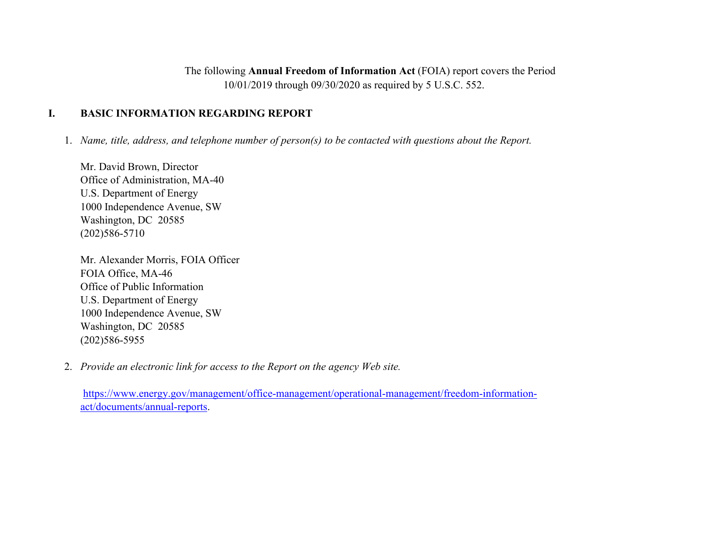The following **Annual Freedom of Information Act** (FOIA) report covers the Period 10/01/2019 through 09/30/2020 as required by 5 U.S.C. 552.

### **I. BASIC INFORMATION REGARDING REPORT**

1. *Name, title, address, and telephone number of person(s) to be contacted with questions about the Report.*

Mr. David Brown, Director Office of Administration, MA-40 U.S. Department of Energy 1000 Independence Avenue, SW Washington, DC 20585 (202)586-5710

Mr. Alexander Morris, FOIA Officer FOIA Office, MA-46 Office of Public Information U.S. Department of Energy 1000 Independence Avenue, SW Washington, DC 20585 (202)586-5955

2. *Provide an electronic link for access to the Report on the agency Web site.*

[https://www.energy.gov/management/office-management/operational-management/freedom-information](https://www.energy.gov/management/office-management/operational-management/freedom-information-act/documents/annual-reports)[act/documents/annual-reports.](https://www.energy.gov/management/office-management/operational-management/freedom-information-act/documents/annual-reports)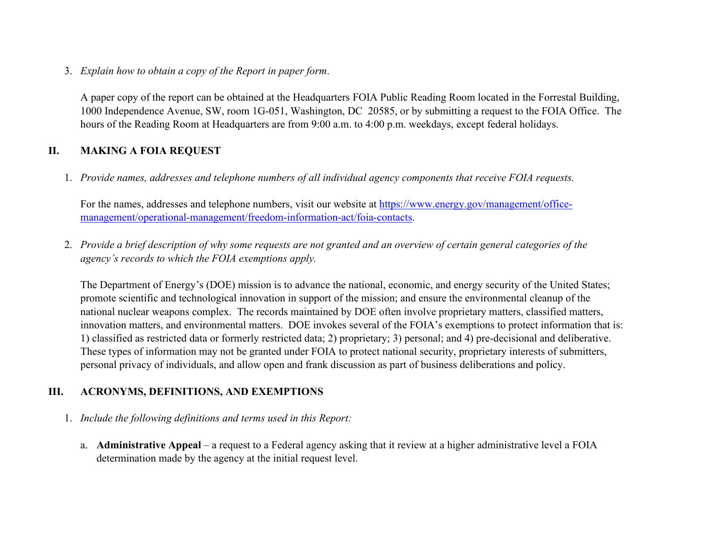3. *Explain how to obtain a copy of the Report in paper form*.

A paper copy of the report can be obtained at the Headquarters FOIA Public Reading Room located in the Forrestal Building, 1000 Independence Avenue, SW, room 1G-051, Washington, DC 20585, or by submitting a request to the FOIA Office. The hours of the Reading Room at Headquarters are from 9:00 a.m. to 4:00 p.m. weekdays, except federal holidays.

### **II. MAKING A FOIA REQUEST**

1. *Provide names, addresses and telephone numbers of all individual agency components that receive FOIA requests.*

For the names, addresses and telephone numbers, visit our website at [https://www.energy.gov/management/office](https://www.energy.gov/management/office-management/operational-management/freedom-information-act/foia-contacts)[management/operational-management/freedom-information-act/foia-contacts.](https://www.energy.gov/management/office-management/operational-management/freedom-information-act/foia-contacts)

2. *Provide a brief description of why some requests are not granted and an overview of certain general categories of the agency's records to which the FOIA exemptions apply.*

The Department of Energy's (DOE) mission is to advance the national, economic, and energy security of the United States; promote scientific and technological innovation in support of the mission; and ensure the environmental cleanup of the national nuclear weapons complex. The records maintained by DOE often involve proprietary matters, classified matters, innovation matters, and environmental matters. DOE invokes several of the FOIA's exemptions to protect information that is: 1) classified as restricted data or formerly restricted data; 2) proprietary; 3) personal; and 4) pre-decisional and deliberative. These types of information may not be granted under FOIA to protect national security, proprietary interests of submitters, personal privacy of individuals, and allow open and frank discussion as part of business deliberations and policy.

### **III. ACRONYMS, DEFINITIONS, AND EXEMPTIONS**

- 1. *Include the following definitions and terms used in this Report:*
	- a. **Administrative Appeal** a request to a Federal agency asking that it review at a higher administrative level a FOIA determination made by the agency at the initial request level.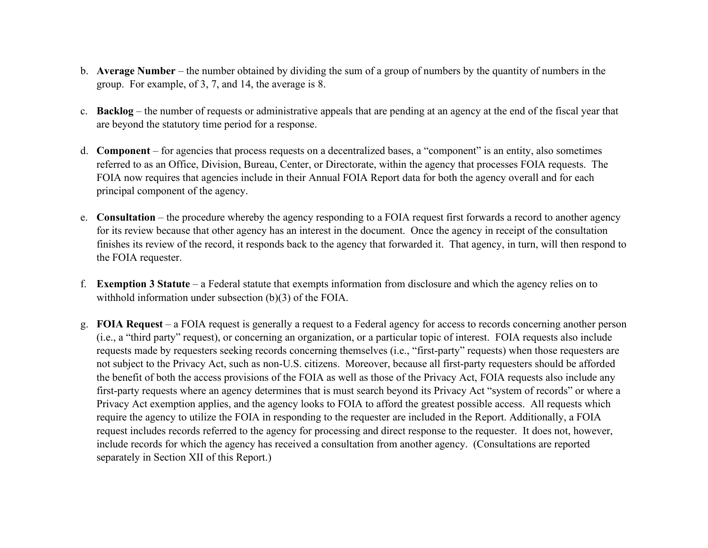- b. **Average Number** the number obtained by dividing the sum of a group of numbers by the quantity of numbers in the group. For example, of 3, 7, and 14, the average is 8.
- c. **Backlog** the number of requests or administrative appeals that are pending at an agency at the end of the fiscal year that are beyond the statutory time period for a response.
- d. **Component** for agencies that process requests on a decentralized bases, a "component" is an entity, also sometimes referred to as an Office, Division, Bureau, Center, or Directorate, within the agency that processes FOIA requests. The FOIA now requires that agencies include in their Annual FOIA Report data for both the agency overall and for each principal component of the agency.
- e. **Consultation** the procedure whereby the agency responding to a FOIA request first forwards a record to another agency for its review because that other agency has an interest in the document. Once the agency in receipt of the consultation finishes its review of the record, it responds back to the agency that forwarded it. That agency, in turn, will then respond to the FOIA requester.
- f. **Exemption 3 Statute** a Federal statute that exempts information from disclosure and which the agency relies on to withhold information under subsection (b)(3) of the FOIA.
- g. **FOIA Request** a FOIA request is generally a request to a Federal agency for access to records concerning another person (i.e., a "third party" request), or concerning an organization, or a particular topic of interest. FOIA requests also include requests made by requesters seeking records concerning themselves (i.e., "first-party" requests) when those requesters are not subject to the Privacy Act, such as non-U.S. citizens. Moreover, because all first-party requesters should be afforded the benefit of both the access provisions of the FOIA as well as those of the Privacy Act, FOIA requests also include any first-party requests where an agency determines that is must search beyond its Privacy Act "system of records" or where a Privacy Act exemption applies, and the agency looks to FOIA to afford the greatest possible access. All requests which require the agency to utilize the FOIA in responding to the requester are included in the Report. Additionally, a FOIA request includes records referred to the agency for processing and direct response to the requester. It does not, however, include records for which the agency has received a consultation from another agency. (Consultations are reported separately in Section XII of this Report.)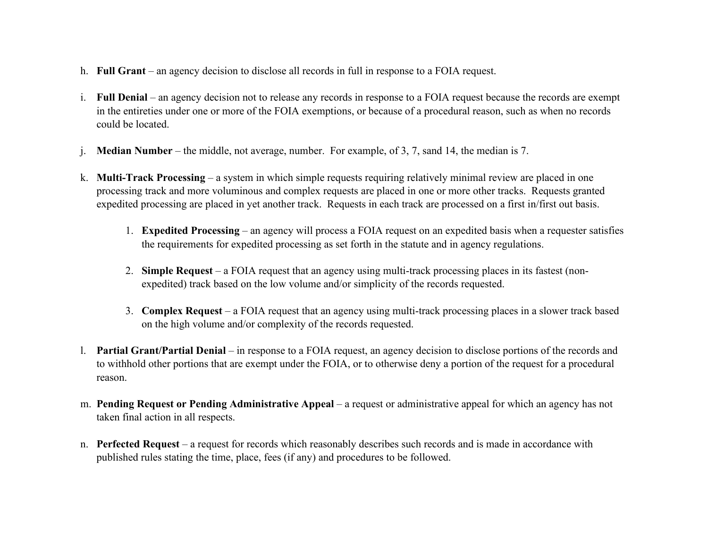- h. **Full Grant** an agency decision to disclose all records in full in response to a FOIA request.
- i. **Full Denial** an agency decision not to release any records in response to a FOIA request because the records are exempt in the entireties under one or more of the FOIA exemptions, or because of a procedural reason, such as when no records could be located.
- j. **Median Number** the middle, not average, number. For example, of 3, 7, sand 14, the median is 7.
- k. **Multi-Track Processing** a system in which simple requests requiring relatively minimal review are placed in one processing track and more voluminous and complex requests are placed in one or more other tracks. Requests granted expedited processing are placed in yet another track. Requests in each track are processed on a first in/first out basis.
	- 1. **Expedited Processing** an agency will process a FOIA request on an expedited basis when a requester satisfies the requirements for expedited processing as set forth in the statute and in agency regulations.
	- 2. **Simple Request** a FOIA request that an agency using multi-track processing places in its fastest (nonexpedited) track based on the low volume and/or simplicity of the records requested.
	- 3. **Complex Request** a FOIA request that an agency using multi-track processing places in a slower track based on the high volume and/or complexity of the records requested.
- l. **Partial Grant/Partial Denial** in response to a FOIA request, an agency decision to disclose portions of the records and to withhold other portions that are exempt under the FOIA, or to otherwise deny a portion of the request for a procedural reason.
- m. **Pending Request or Pending Administrative Appeal** a request or administrative appeal for which an agency has not taken final action in all respects.
- n. **Perfected Request** a request for records which reasonably describes such records and is made in accordance with published rules stating the time, place, fees (if any) and procedures to be followed.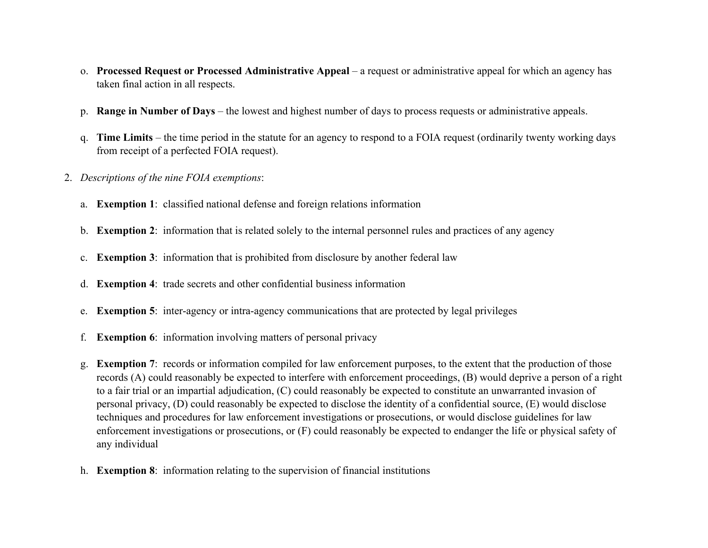- o. **Processed Request or Processed Administrative Appeal** a request or administrative appeal for which an agency has taken final action in all respects.
- p. **Range in Number of Days** the lowest and highest number of days to process requests or administrative appeals.
- q. **Time Limits** the time period in the statute for an agency to respond to a FOIA request (ordinarily twenty working days from receipt of a perfected FOIA request).
- 2. *Descriptions of the nine FOIA exemptions*:
	- a. **Exemption 1**: classified national defense and foreign relations information
	- b. **Exemption 2**: information that is related solely to the internal personnel rules and practices of any agency
	- c. **Exemption 3**: information that is prohibited from disclosure by another federal law
	- d. **Exemption 4**: trade secrets and other confidential business information
	- e. **Exemption 5**: inter-agency or intra-agency communications that are protected by legal privileges
	- f. **Exemption 6**: information involving matters of personal privacy
	- g. **Exemption 7**: records or information compiled for law enforcement purposes, to the extent that the production of those records (A) could reasonably be expected to interfere with enforcement proceedings, (B) would deprive a person of a right to a fair trial or an impartial adjudication, (C) could reasonably be expected to constitute an unwarranted invasion of personal privacy, (D) could reasonably be expected to disclose the identity of a confidential source, (E) would disclose techniques and procedures for law enforcement investigations or prosecutions, or would disclose guidelines for law enforcement investigations or prosecutions, or (F) could reasonably be expected to endanger the life or physical safety of any individual
	- h. **Exemption 8**: information relating to the supervision of financial institutions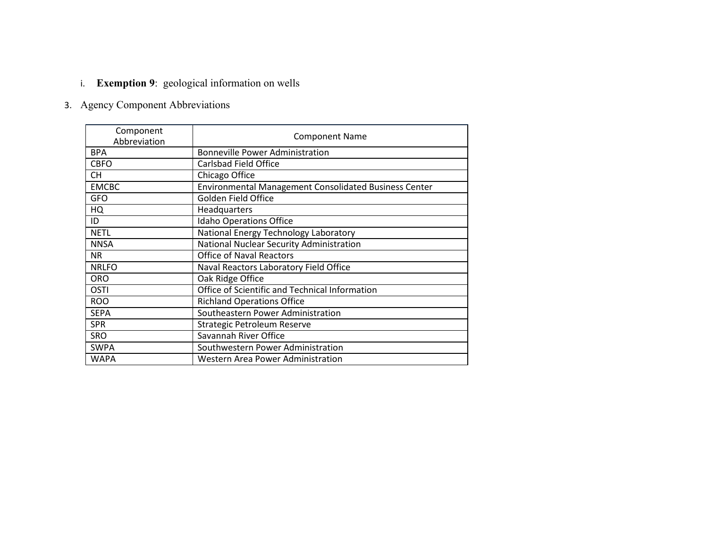# i. **Exemption 9**: geological information on wells

# 3. Agency Component Abbreviations

| Component<br>Abbreviation | <b>Component Name</b>                                        |  |  |  |  |  |  |
|---------------------------|--------------------------------------------------------------|--|--|--|--|--|--|
| <b>BPA</b>                | <b>Bonneville Power Administration</b>                       |  |  |  |  |  |  |
| <b>CBFO</b>               | Carlsbad Field Office                                        |  |  |  |  |  |  |
| CH.                       | Chicago Office                                               |  |  |  |  |  |  |
| <b>EMCBC</b>              | <b>Environmental Management Consolidated Business Center</b> |  |  |  |  |  |  |
| <b>GFO</b>                | Golden Field Office                                          |  |  |  |  |  |  |
| HQ                        | Headquarters                                                 |  |  |  |  |  |  |
| ID                        | <b>Idaho Operations Office</b>                               |  |  |  |  |  |  |
| <b>NETL</b>               | National Energy Technology Laboratory                        |  |  |  |  |  |  |
| <b>NNSA</b>               | National Nuclear Security Administration                     |  |  |  |  |  |  |
| <b>NR</b>                 | <b>Office of Naval Reactors</b>                              |  |  |  |  |  |  |
| <b>NRLFO</b>              | Naval Reactors Laboratory Field Office                       |  |  |  |  |  |  |
| <b>ORO</b>                | Oak Ridge Office                                             |  |  |  |  |  |  |
| <b>OSTI</b>               | Office of Scientific and Technical Information               |  |  |  |  |  |  |
| <b>ROO</b>                | <b>Richland Operations Office</b>                            |  |  |  |  |  |  |
| <b>SEPA</b>               | Southeastern Power Administration                            |  |  |  |  |  |  |
| <b>SPR</b>                | Strategic Petroleum Reserve                                  |  |  |  |  |  |  |
| <b>SRO</b>                | Savannah River Office                                        |  |  |  |  |  |  |
| <b>SWPA</b>               | Southwestern Power Administration                            |  |  |  |  |  |  |
| <b>WAPA</b>               | Western Area Power Administration                            |  |  |  |  |  |  |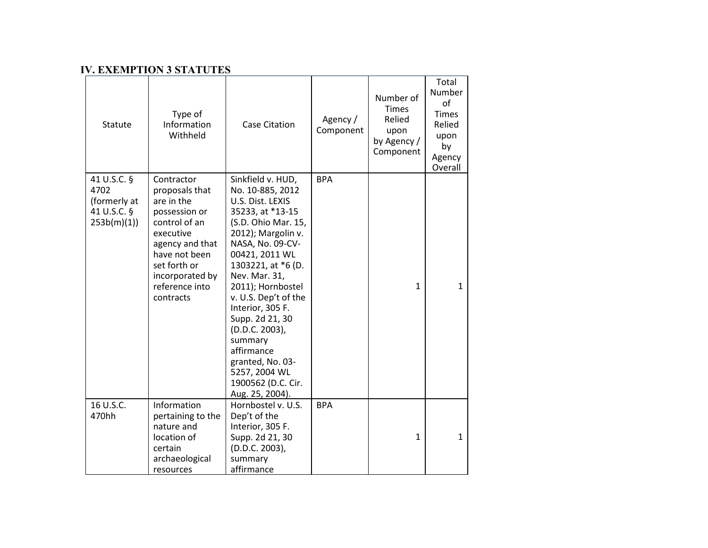### **IV. EXEMPTION 3 STATUTES**

| Statute                                                          | Type of<br>Information<br>Withheld                                                                                                                                                              | <b>Case Citation</b>                                                                                                                                                                                                                                                                                                                                                                                                 | Agency /<br>Component | Number of<br><b>Times</b><br>Relied<br>upon<br>by Agency /<br>Component | Total<br>Number<br>of<br><b>Times</b><br>Relied<br>upon<br>by<br>Agency<br>Overall |
|------------------------------------------------------------------|-------------------------------------------------------------------------------------------------------------------------------------------------------------------------------------------------|----------------------------------------------------------------------------------------------------------------------------------------------------------------------------------------------------------------------------------------------------------------------------------------------------------------------------------------------------------------------------------------------------------------------|-----------------------|-------------------------------------------------------------------------|------------------------------------------------------------------------------------|
| 41 U.S.C. §<br>4702<br>(formerly at<br>41 U.S.C. §<br>253b(m)(1) | Contractor<br>proposals that<br>are in the<br>possession or<br>control of an<br>executive<br>agency and that<br>have not been<br>set forth or<br>incorporated by<br>reference into<br>contracts | Sinkfield v. HUD,<br>No. 10-885, 2012<br>U.S. Dist. LEXIS<br>35233, at *13-15<br>(S.D. Ohio Mar. 15,<br>2012); Margolin v.<br>NASA, No. 09-CV-<br>00421, 2011 WL<br>1303221, at *6 (D.<br>Nev. Mar. 31,<br>2011); Hornbostel<br>v. U.S. Dep't of the<br>Interior, 305 F.<br>Supp. 2d 21, 30<br>(D.D.C. 2003),<br>summary<br>affirmance<br>granted, No. 03-<br>5257, 2004 WL<br>1900562 (D.C. Cir.<br>Aug. 25, 2004). | <b>BPA</b>            | $\mathbf{1}$                                                            | $\mathbf{1}$                                                                       |
| 16 U.S.C.<br>470hh                                               | Information<br>pertaining to the<br>nature and<br>location of<br>certain<br>archaeological<br>resources                                                                                         | Hornbostel v. U.S.<br>Dep't of the<br>Interior, 305 F.<br>Supp. 2d 21, 30<br>(D.D.C. 2003),<br>summary<br>affirmance                                                                                                                                                                                                                                                                                                 | <b>BPA</b>            | 1                                                                       | $\mathbf{1}$                                                                       |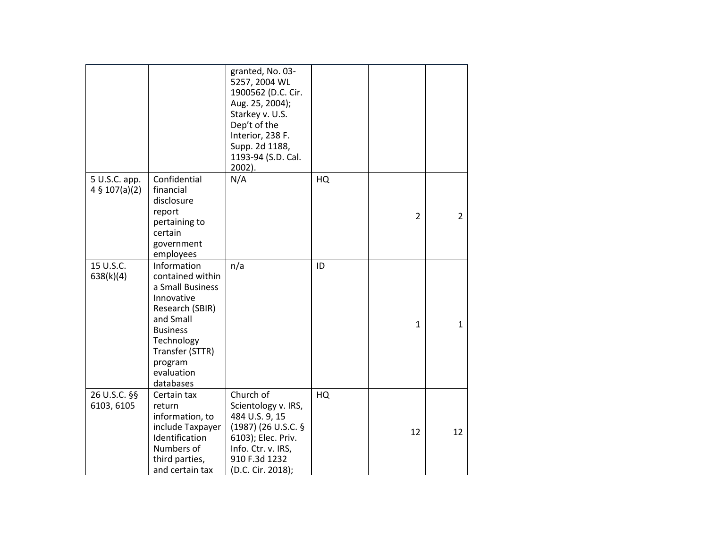|                                          |                                                                                                                                                                                             | granted, No. 03-<br>5257, 2004 WL<br>1900562 (D.C. Cir.<br>Aug. 25, 2004);<br>Starkey v. U.S.<br>Dep't of the<br>Interior, 238 F.<br>Supp. 2d 1188,<br>1193-94 (S.D. Cal.<br>2002). |    |                |                |
|------------------------------------------|---------------------------------------------------------------------------------------------------------------------------------------------------------------------------------------------|-------------------------------------------------------------------------------------------------------------------------------------------------------------------------------------|----|----------------|----------------|
| 5 U.S.C. app.<br>$4 \frac{5}{107(a)(2)}$ | Confidential<br>financial<br>disclosure<br>report<br>pertaining to<br>certain<br>government<br>employees                                                                                    | N/A                                                                                                                                                                                 | HQ | $\overline{2}$ | $\overline{2}$ |
| 15 U.S.C.<br>638(k)(4)                   | Information<br>contained within<br>a Small Business<br>Innovative<br>Research (SBIR)<br>and Small<br><b>Business</b><br>Technology<br>Transfer (STTR)<br>program<br>evaluation<br>databases | n/a                                                                                                                                                                                 | ID | $\mathbf{1}$   | $\mathbf{1}$   |
| 26 U.S.C. §§<br>6103, 6105               | Certain tax<br>return<br>information, to<br>include Taxpayer<br>Identification<br>Numbers of<br>third parties,<br>and certain tax                                                           | Church of<br>Scientology v. IRS,<br>484 U.S. 9, 15<br>(1987) (26 U.S.C. §<br>6103); Elec. Priv.<br>Info. Ctr. v. IRS,<br>910 F.3d 1232<br>(D.C. Cir. 2018);                         | HQ | 12             | 12             |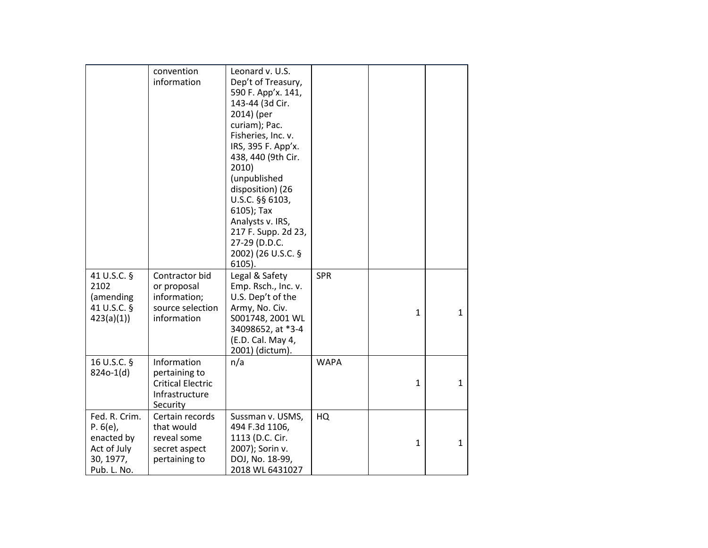|                                                                                   | convention<br>information                                                              | Leonard v. U.S.<br>Dep't of Treasury,<br>590 F. App'x. 141,<br>143-44 (3d Cir.<br>2014) (per<br>curiam); Pac.<br>Fisheries, Inc. v.<br>IRS, 395 F. App'x.<br>438, 440 (9th Cir.<br>2010)<br>(unpublished<br>disposition) (26<br>U.S.C. §§ 6103,<br>6105); Tax<br>Analysts v. IRS,<br>217 F. Supp. 2d 23,<br>27-29 (D.D.C.<br>2002) (26 U.S.C. §<br>$6105$ ). |             |              |              |
|-----------------------------------------------------------------------------------|----------------------------------------------------------------------------------------|--------------------------------------------------------------------------------------------------------------------------------------------------------------------------------------------------------------------------------------------------------------------------------------------------------------------------------------------------------------|-------------|--------------|--------------|
| 41 U.S.C. §<br>2102<br>(amending<br>41 U.S.C. §<br>423(a)(1)                      | Contractor bid<br>or proposal<br>information;<br>source selection<br>information       | Legal & Safety<br>Emp. Rsch., Inc. v.<br>U.S. Dep't of the<br>Army, No. Civ.<br>S001748, 2001 WL<br>34098652, at *3-4<br>(E.D. Cal. May 4,<br>2001) (dictum).                                                                                                                                                                                                | <b>SPR</b>  | $\mathbf{1}$ | $\mathbf{1}$ |
| 16 U.S.C. §<br>824o-1(d)                                                          | Information<br>pertaining to<br><b>Critical Electric</b><br>Infrastructure<br>Security | n/a                                                                                                                                                                                                                                                                                                                                                          | <b>WAPA</b> | 1            | $\mathbf{1}$ |
| Fed. R. Crim.<br>P. 6(e)<br>enacted by<br>Act of July<br>30, 1977,<br>Pub. L. No. | Certain records<br>that would<br>reveal some<br>secret aspect<br>pertaining to         | Sussman v. USMS,<br>494 F.3d 1106,<br>1113 (D.C. Cir.<br>2007); Sorin v.<br>DOJ, No. 18-99,<br>2018 WL 6431027                                                                                                                                                                                                                                               | HQ          | $\mathbf{1}$ | $\mathbf{1}$ |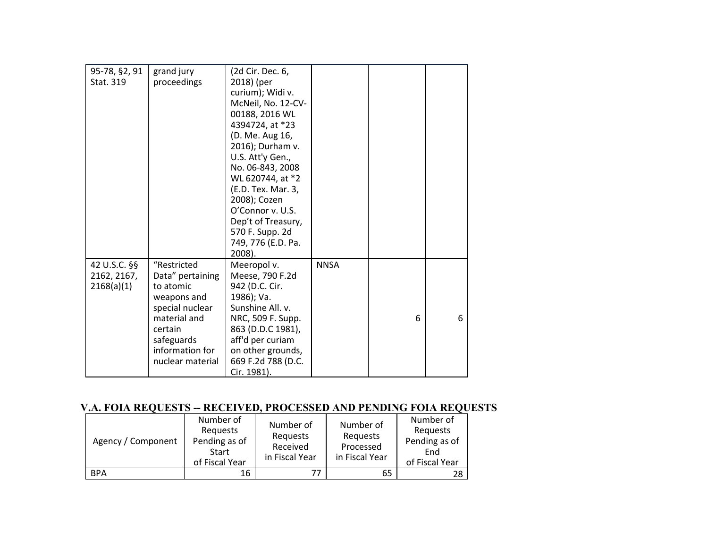| 95-78, §2, 91<br>Stat. 319                | grand jury<br>proceedings                                                                                                                                      | (2d Cir. Dec. 6,<br>2018) (per<br>curium); Widi v.<br>McNeil, No. 12-CV-<br>00188, 2016 WL<br>4394724, at *23<br>(D. Me. Aug 16,<br>2016); Durham v.<br>U.S. Att'y Gen.,<br>No. 06-843, 2008<br>WL 620744, at *2<br>(E.D. Tex. Mar. 3,<br>2008); Cozen<br>O'Connor v. U.S.<br>Dep't of Treasury,<br>570 F. Supp. 2d<br>749, 776 (E.D. Pa.<br>2008). |             |   |   |
|-------------------------------------------|----------------------------------------------------------------------------------------------------------------------------------------------------------------|-----------------------------------------------------------------------------------------------------------------------------------------------------------------------------------------------------------------------------------------------------------------------------------------------------------------------------------------------------|-------------|---|---|
| 42 U.S.C. §§<br>2162, 2167,<br>2168(a)(1) | "Restricted<br>Data" pertaining<br>to atomic<br>weapons and<br>special nuclear<br>material and<br>certain<br>safeguards<br>information for<br>nuclear material | Meeropol v.<br>Meese, 790 F.2d<br>942 (D.C. Cir.<br>1986); Va.<br>Sunshine All. v.<br>NRC, 509 F. Supp.<br>863 (D.D.C 1981),<br>aff'd per curiam<br>on other grounds,<br>669 F.2d 788 (D.C.<br>Cir. 1981).                                                                                                                                          | <b>NNSA</b> | 6 | 6 |

# **V.A. FOIA REQUESTS -- RECEIVED, PROCESSED AND PENDING FOIA REQUESTS**

| Agency / Component | Number of<br>Requests<br>Pending as of<br>Start<br>of Fiscal Year | Number of<br>Requests<br>Received<br>in Fiscal Year | Number of<br>Requests<br>Processed<br>in Fiscal Year | Number of<br>Requests<br>Pending as of<br>End<br>of Fiscal Year |
|--------------------|-------------------------------------------------------------------|-----------------------------------------------------|------------------------------------------------------|-----------------------------------------------------------------|
| <b>BPA</b>         | 16                                                                | 77                                                  | 65                                                   | 28                                                              |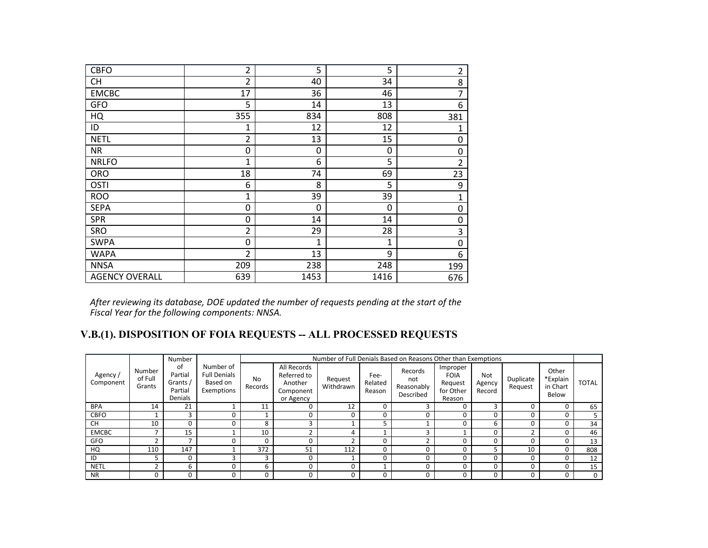| <b>CBFO</b>           | $\overline{2}$ | 5    | 5    | $\overline{2}$ |
|-----------------------|----------------|------|------|----------------|
| <b>CH</b>             | $\overline{2}$ | 40   | 34   | 8              |
| <b>EMCBC</b>          | 17             | 36   | 46   | 7              |
| <b>GFO</b>            | 5              | 14   | 13   | 6              |
| HQ                    | 355            | 834  | 808  | 381            |
| ID                    | 1              | 12   | 12   | 1              |
| <b>NETL</b>           | 2              | 13   | 15   | 0              |
| <b>NR</b>             | 0              | 0    | 0    | 0              |
| <b>NRLFO</b>          | 1              | 6    | 5    | $\overline{2}$ |
| <b>ORO</b>            | 18             | 74   | 69   | 23             |
| OSTI                  | 6              | 8    | 5    | 9              |
| <b>ROO</b>            | $\mathbf{1}$   | 39   | 39   | $\mathbf{1}$   |
| <b>SEPA</b>           | 0              | 0    | 0    | 0              |
| <b>SPR</b>            | 0              | 14   | 14   | 0              |
| <b>SRO</b>            | $\overline{2}$ | 29   | 28   | 3              |
| <b>SWPA</b>           | 0              | 1    | 1    | $\mathbf 0$    |
| <b>WAPA</b>           | $\overline{2}$ | 13   | 9    | 6              |
| <b>NNSA</b>           | 209            | 238  | 248  | 199            |
| <b>AGENCY OVERALL</b> | 639            | 1453 | 1416 | 676            |

*After reviewing its database, DOE updated the number of requests pending at the start of the Fiscal Year for the following components: NNSA.*

## **V.B.(1). DISPOSITION OF FOIA REQUESTS -- ALL PROCESSED REQUESTS**

|                     |                             | Number                                          |                                                            |               |                                                                 |                      |                           | Number of Full Denials Based on Reasons Other than Exemptions |                                                           |                         |                      |                                        |              |
|---------------------|-----------------------------|-------------------------------------------------|------------------------------------------------------------|---------------|-----------------------------------------------------------------|----------------------|---------------------------|---------------------------------------------------------------|-----------------------------------------------------------|-------------------------|----------------------|----------------------------------------|--------------|
| Agency<br>Component | Number<br>of Full<br>Grants | of<br>Partial<br>Grants /<br>Partial<br>Denials | Number of<br><b>Full Denials</b><br>Based on<br>Exemptions | No<br>Records | All Records<br>Referred to<br>Another<br>Component<br>or Agency | Request<br>Withdrawn | Fee-<br>Related<br>Reason | Records<br>not<br>Reasonably<br>Described                     | Improper<br><b>FOIA</b><br>Request<br>for Other<br>Reason | Not<br>Agency<br>Record | Duplicate<br>Request | Other<br>*Explain<br>in Chart<br>Below | <b>TOTAL</b> |
| <b>BPA</b>          | 14                          | 21                                              |                                                            | 11            | 0                                                               | 12                   | O                         | 3                                                             |                                                           | 3                       |                      |                                        | 65           |
| <b>CBFO</b>         |                             | 3                                               | O                                                          |               | 0                                                               | 0                    | O                         |                                                               |                                                           | 0                       |                      | 0                                      |              |
| <b>CH</b>           | 10                          | 0                                               | ი                                                          | 8             | 3                                                               |                      |                           |                                                               |                                                           | ь                       |                      |                                        | 34           |
| <b>EMCBC</b>        |                             | 15                                              |                                                            | 10            | ∍                                                               | 4                    |                           | 3                                                             |                                                           | 0                       |                      |                                        | 46           |
| <b>GFO</b>          |                             |                                                 |                                                            | 0             | O                                                               |                      |                           | $\overline{ }$                                                |                                                           | $\Omega$                |                      |                                        | 13           |
| HQ                  | 110                         | 147                                             |                                                            | 372           | 51                                                              | 112                  | O                         |                                                               |                                                           |                         | 10                   |                                        | 808          |
| ID                  |                             | 0                                               | э                                                          | 3             | 0                                                               |                      |                           |                                                               |                                                           | O                       |                      |                                        | 12           |
| <b>NETL</b>         |                             | b                                               | በ                                                          | 6             | 0                                                               | U                    |                           |                                                               |                                                           | 0                       |                      |                                        | 15           |
| <b>NR</b>           |                             |                                                 |                                                            | 0             | 0                                                               | 0                    |                           | 0                                                             |                                                           | $\Omega$                |                      | 0                                      | $\mathbf 0$  |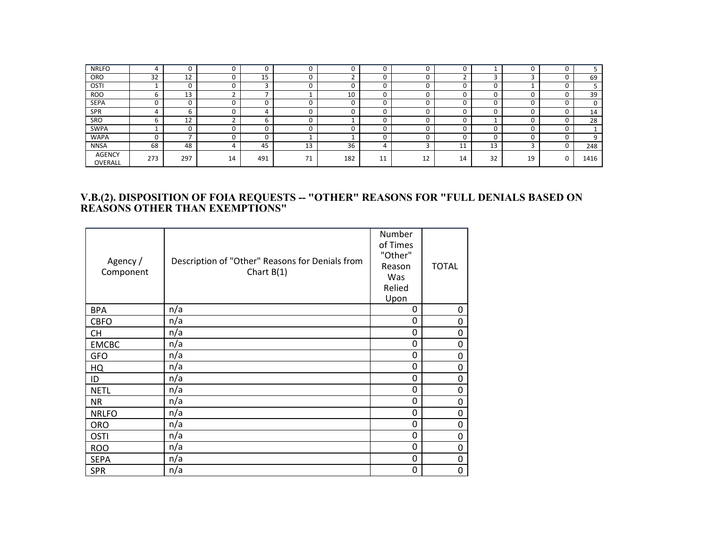| <b>NRLFO</b>      | 4   |         |    | C                 |    |     |                 |    |         |    |    | u |      |
|-------------------|-----|---------|----|-------------------|----|-----|-----------------|----|---------|----|----|---|------|
| ORO               | 32  | 12<br>ᅭ |    | 15                |    |     |                 |    |         |    |    |   | 69   |
| OSTI              |     |         |    | $\mathbf{\hat{}}$ |    |     |                 |    |         |    |    | υ |      |
| <b>ROO</b>        | b   | 13      |    |                   |    | 10  | u               | U  |         |    |    | υ | 39   |
| <b>SEPA</b>       | 0   |         |    |                   |    |     |                 |    |         |    |    |   | 0    |
| SPR               | 4   |         |    |                   |    |     |                 |    |         |    |    |   | 14   |
| SRO               | b   | 12      |    | 6                 |    |     | $\sqrt{2}$<br>u |    |         |    |    | ◠ | 28   |
| SWPA              |     |         |    | 0                 |    |     | $\sqrt{2}$      |    |         |    |    | 0 | ÷.   |
| <b>WAPA</b>       | ŋ   |         |    |                   |    |     |                 |    |         |    |    |   | 9    |
| <b>NNSA</b>       | 68  | 48      |    | 45                | 13 | 36  |                 |    | 1.<br>ᆠ | 13 |    |   | 248  |
| AGENCY<br>OVERALL | 273 | 297     | 14 | 491               | 71 | 182 | 11<br>ᆠᅶ        | 12 | 14      | 32 | 19 |   | 1416 |

#### **V.B.(2). DISPOSITION OF FOIA REQUESTS -- "OTHER" REASONS FOR "FULL DENIALS BASED ON REASONS OTHER THAN EXEMPTIONS"**

| Agency /<br>Component | Description of "Other" Reasons for Denials from<br>Chart $B(1)$ | Number<br>of Times<br>"Other"<br>Reason<br>Was<br>Relied<br>Upon | <b>TOTAL</b> |
|-----------------------|-----------------------------------------------------------------|------------------------------------------------------------------|--------------|
| <b>BPA</b>            | n/a                                                             | 0                                                                | 0            |
| <b>CBFO</b>           | n/a                                                             | 0                                                                | 0            |
| <b>CH</b>             | n/a                                                             | 0                                                                | 0            |
| <b>EMCBC</b>          | n/a                                                             | 0                                                                | 0            |
| <b>GFO</b>            | n/a                                                             | 0                                                                | 0            |
| HQ                    | n/a                                                             | 0                                                                | 0            |
| ID                    | n/a                                                             | 0                                                                | 0            |
| <b>NETL</b>           | n/a                                                             | 0                                                                | 0            |
| <b>NR</b>             | n/a                                                             | 0                                                                | $\mathbf 0$  |
| <b>NRLFO</b>          | n/a                                                             | 0                                                                | 0            |
| <b>ORO</b>            | n/a                                                             | 0                                                                | 0            |
| <b>OSTI</b>           | n/a                                                             | 0                                                                | 0            |
| <b>ROO</b>            | n/a                                                             | 0                                                                | 0            |
| <b>SEPA</b>           | n/a                                                             | 0                                                                | 0            |
| <b>SPR</b>            | n/a                                                             | 0                                                                | 0            |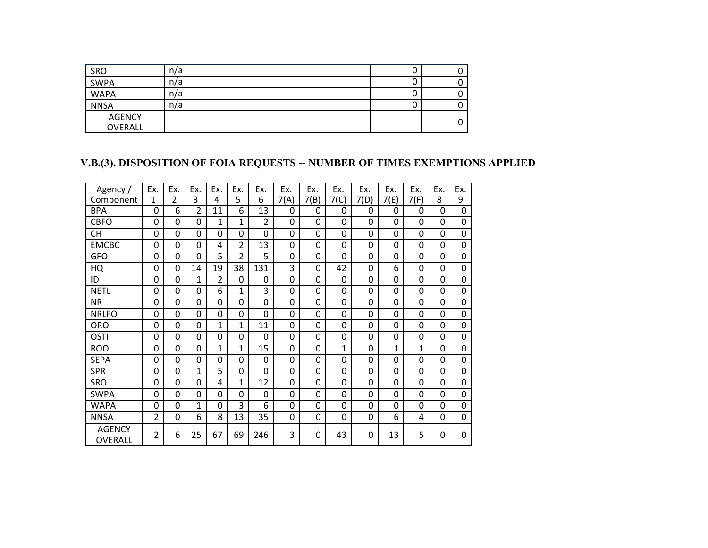| SRO                      | n/a |   |
|--------------------------|-----|---|
| SWPA                     | n/a |   |
| <b>WAPA</b>              | n/a |   |
| <b>NNSA</b>              | n/a |   |
| <b>AGENCY</b><br>OVERALL |     | 0 |

## **V.B.(3). DISPOSITION OF FOIA REQUESTS -- NUMBER OF TIMES EXEMPTIONS APPLIED**

| Agency /                 | Ex.            | Ex.            | Ex.            | Ex. | Ex.            | Ex.            | Ex.          | Ex.  | Ex.  | Ex.      | Ex.          | Ex.  | Ex.      | Ex.            |
|--------------------------|----------------|----------------|----------------|-----|----------------|----------------|--------------|------|------|----------|--------------|------|----------|----------------|
| Component                | 1              | $\overline{2}$ | 3              | 4   | 5              | 6              | 7(A)         | 7(B) | 7(C) | 7(D)     | 7(E)         | 7(F) | 8        | 9              |
| <b>BPA</b>               | $\Omega$       | 6              | $\overline{2}$ | 11  | 6              | 13             | $\mathbf{0}$ | 0    | 0    | $\Omega$ | 0            | 0    | $\Omega$ | 0              |
| <b>CBFO</b>              | 0              | 0              | 0              | 1   | $\mathbf{1}$   | $\overline{2}$ | 0            | 0    | 0    | $\Omega$ | $\mathbf{0}$ | 0    | $\Omega$ | $\mathbf 0$    |
| <b>CH</b>                | 0              | 0              | 0              | 0   | 0              | 0              | 0            | 0    | 0    | 0        | 0            | 0    | 0        | 0              |
| <b>EMCBC</b>             | 0              | 0              | 0              | 4   | $\overline{2}$ | 13             | 0            | 0    | 0    | 0        | 0            | 0    | $\Omega$ | 0              |
| GFO                      | $\Omega$       | 0              | 0              | 5   | $\overline{2}$ | 5              | 0            | 0    | 0    | $\Omega$ | 0            | 0    | $\Omega$ | $\mathbf 0$    |
| HQ                       | 0              | 0              | 14             | 19  | 38             | 131            | 3            | 0    | 42   | 0        | 6            | 0    | 0        | 0              |
| ID                       | $\Omega$       | 0              | 1              | 2   | 0              | 0              | 0            | 0    | 0    | $\Omega$ | 0            | 0    | $\Omega$ | 0              |
| <b>NETL</b>              | 0              | 0              | 0              | 6   | 1              | $\overline{3}$ | 0            | 0    | 0    | 0        | $\mathbf{0}$ | 0    | 0        | 0              |
| <b>NR</b>                | 0              | 0              | 0              | 0   | 0              | 0              | 0            | 0    | 0    | $\Omega$ | 0            | 0    | $\Omega$ | $\overline{0}$ |
| <b>NRLFO</b>             | 0              | 0              | 0              | 0   | 0              | 0              | 0            | 0    | 0    | 0        | 0            | 0    | 0        | 0              |
| <b>ORO</b>               | $\Omega$       | 0              | 0              | 1   | 1              | 11             | 0            | 0    | 0    | $\Omega$ | $\Omega$     | 0    | $\Omega$ | 0              |
| <b>OSTI</b>              | 0              | 0              | 0              | 0   | 0              | 0              | 0            | 0    | 0    | $\Omega$ | $\Omega$     | 0    | $\Omega$ | 0              |
| <b>ROO</b>               | 0              | 0              | 0              | 1   | $\overline{1}$ | 15             | 0            | 0    | 1    | 0        | 1            | 1    | $\Omega$ | 0              |
| <b>SEPA</b>              | 0              | 0              | 0              | 0   | 0              | 0              | 0            | 0    | 0    | 0        | 0            | 0    | $\Omega$ | 0              |
| <b>SPR</b>               | 0              | 0              | $\mathbf{1}$   | 5   | 0              | 0              | 0            | 0    | 0    | 0        | 0            | 0    | $\Omega$ | 0              |
| <b>SRO</b>               | 0              | 0              | 0              | 4   | 1              | 12             | 0            | 0    | 0    | 0        | 0            | 0    | $\Omega$ | $\mathbf 0$    |
| <b>SWPA</b>              | 0              | 0              | 0              | 0   | 0              | 0              | 0            | 0    | 0    | 0        | 0            | 0    | $\Omega$ | 0              |
| WAPA                     | 0              | 0              | 1              | 0   | 3              | 6              | 0            | 0    | 0    | 0        | 0            | 0    | 0        | 0              |
| <b>NNSA</b>              | $\overline{2}$ | 0              | 6              | 8   | 13             | 35             | 0            | 0    | 0    | $\Omega$ | 6            | 4    | $\Omega$ | $\mathbf 0$    |
| <b>AGENCY</b><br>OVERALL | $\overline{2}$ | 6              | 25             | 67  | 69             | 246            | 3            | 0    | 43   | $\Omega$ | 13           | 5    | 0        | 0              |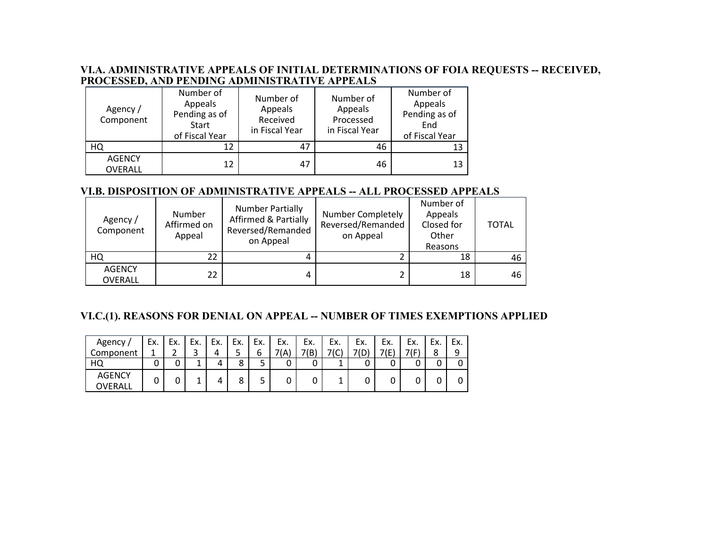#### **VI.A. ADMINISTRATIVE APPEALS OF INITIAL DETERMINATIONS OF FOIA REQUESTS -- RECEIVED, PROCESSED, AND PENDING ADMINISTRATIVE APPEALS**

| Agency /<br>Component    | Number of<br>Appeals<br>Pending as of<br>Start<br>of Fiscal Year | Number of<br>Appeals<br>Received<br>in Fiscal Year | Number of<br>Appeals<br>Processed<br>in Fiscal Year | Number of<br>Appeals<br>Pending as of<br>End<br>of Fiscal Year |
|--------------------------|------------------------------------------------------------------|----------------------------------------------------|-----------------------------------------------------|----------------------------------------------------------------|
| HQ                       | 12                                                               | 47                                                 | 46                                                  | 13                                                             |
| <b>AGENCY</b><br>OVERALL | 12                                                               | 47                                                 | 46                                                  | 13                                                             |

### **VI.B. DISPOSITION OF ADMINISTRATIVE APPEALS -- ALL PROCESSED APPEALS**

| Agency /<br>Component           | Number<br>Affirmed on<br>Appeal | <b>Number Partially</b><br><b>Affirmed &amp; Partially</b><br>Reversed/Remanded<br>on Appeal | Number Completely<br>Reversed/Remanded<br>on Appeal | Number of<br>Appeals<br>Closed for<br>Other<br>Reasons | <b>TOTAL</b> |
|---------------------------------|---------------------------------|----------------------------------------------------------------------------------------------|-----------------------------------------------------|--------------------------------------------------------|--------------|
| HQ                              | 22.                             |                                                                                              |                                                     | 18                                                     | 46           |
| <b>AGENCY</b><br><b>OVERALL</b> | $22^{\circ}$                    |                                                                                              |                                                     | 18                                                     | 46           |

### **VI.C.(1). REASONS FOR DENIAL ON APPEAL -- NUMBER OF TIMES EXEMPTIONS APPLIED**

| Agency                   | Ex. | Ex. | Ex. | Ex. | Ex.    | Ex.    | Ex. | Ex.  | Ex.      | Ex. | Ex.  | Ex.  | Ex. | Ex. |
|--------------------------|-----|-----|-----|-----|--------|--------|-----|------|----------|-----|------|------|-----|-----|
| Component                | л   |     | J   | 4   | ر      | ь      | ıΑ  | 7(B, | コノへ<br>֊ |     | 71F) | 71 C | 8   | 9   |
| HQ                       | U   |     | ∸   |     | о<br>٥ | -<br>ٮ | v   |      |          |     | U    |      |     |     |
| <b>AGENCY</b><br>OVERALL | 0   | U   | --  |     | 8      | ے      | U   |      | --       | v   | U    | ີ    |     |     |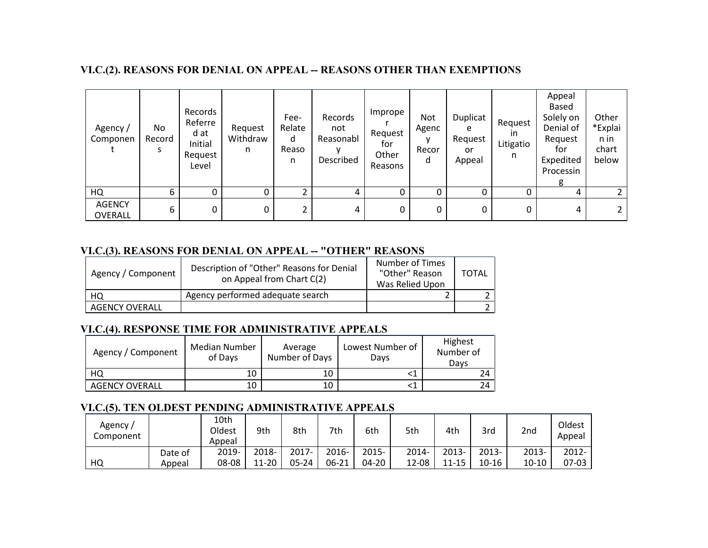### **VI.C.(2). REASONS FOR DENIAL ON APPEAL -- REASONS OTHER THAN EXEMPTIONS**

| Agency /<br>Componen     | No<br>Record<br>s | Records<br>Referre<br>d at<br>Initial<br>Request<br>Level | Request<br>Withdraw<br>n | Fee-<br>Relate<br>d<br>Reaso<br>n | Records<br>not<br>Reasonabl<br>Described | Imprope<br>Request<br>for<br>Other<br>Reasons | Not<br>Agenc<br>Recor<br>d | Duplicat<br>e<br>Request<br>or<br>Appeal | Request<br>ın<br>Litigatio<br>n. | Appeal<br>Based<br>Solely on<br>Denial of<br>Request<br>for<br>Expedited<br>Processin | Other<br>*Explai<br>n in<br>chart<br>below |
|--------------------------|-------------------|-----------------------------------------------------------|--------------------------|-----------------------------------|------------------------------------------|-----------------------------------------------|----------------------------|------------------------------------------|----------------------------------|---------------------------------------------------------------------------------------|--------------------------------------------|
| HQ                       | 6                 | 0                                                         |                          | $\overline{2}$                    | 4                                        | $\Omega$                                      |                            |                                          |                                  | 4                                                                                     |                                            |
| <b>AGENCY</b><br>OVERALL | 6                 | 0                                                         | 0                        | 2                                 | 4                                        | 0                                             | 0                          | 0                                        | 0                                | 4                                                                                     |                                            |

### **VI.C.(3). REASONS FOR DENIAL ON APPEAL -- "OTHER" REASONS**

| Agency / Component    | Description of "Other" Reasons for Denial<br>on Appeal from Chart C(2) | Number of Times<br>"Other" Reason<br>Was Relied Upon | <b>TOTAL</b> |
|-----------------------|------------------------------------------------------------------------|------------------------------------------------------|--------------|
| HQ                    | Agency performed adequate search                                       |                                                      |              |
| <b>AGENCY OVERALL</b> |                                                                        |                                                      |              |

### **VI.C.(4). RESPONSE TIME FOR ADMINISTRATIVE APPEALS**

| Agency / Component    | Median Number<br>of Days | Average<br>Number of Days | Lowest Number of<br>Davs | Highest<br>Number of<br>Days |  |
|-----------------------|--------------------------|---------------------------|--------------------------|------------------------------|--|
| HQ                    | 10                       | 10                        |                          |                              |  |
| <b>AGENCY OVERALL</b> | 10                       | 10                        |                          | 24                           |  |

### **VI.C.(5). TEN OLDEST PENDING ADMINISTRATIVE APPEALS**

| Agency,<br>Component |         | 10th<br>Oldest<br>Appeal | 9th   | 8th   | 7th   | 6th      | 5th   | 4th      | 3rd   | 2nd   | Oldest<br>Appeal |
|----------------------|---------|--------------------------|-------|-------|-------|----------|-------|----------|-------|-------|------------------|
|                      | Date of | 2019-                    | 2018- | 2017- | 2016- | $2015 -$ | 2014- | $2013 -$ | 2013- | 2013- | $2012 -$         |
| HQ                   | Appeal  | 08-08                    | 11-20 | 05-24 | 06-21 | 04-20    | 12-08 | 11-15    | 10-16 | 10-10 | 07-03            |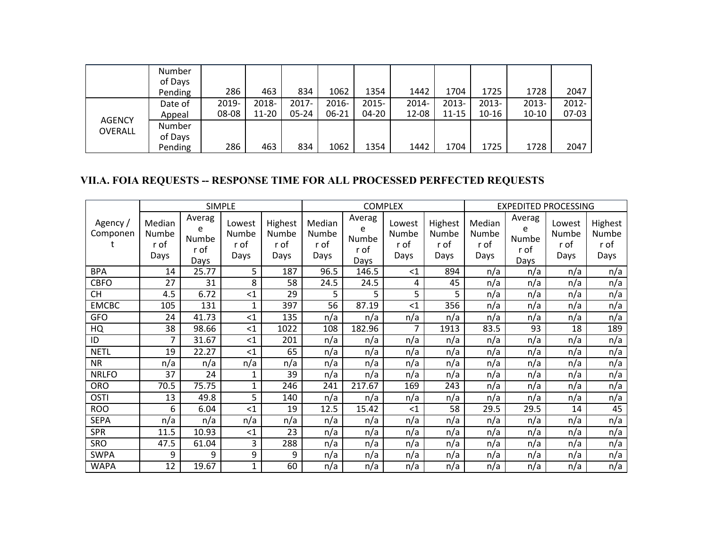|                          | Number<br>of Days<br>Pending | 286            | 463            | 834            | 1062           | 1354           | 1442           | 1704                  | 1725              | 1728             | 2047           |
|--------------------------|------------------------------|----------------|----------------|----------------|----------------|----------------|----------------|-----------------------|-------------------|------------------|----------------|
|                          | Date of<br>Appeal            | 2019-<br>08-08 | 2018-<br>11-20 | 2017-<br>05-24 | 2016-<br>06-21 | 2015-<br>04-20 | 2014-<br>12-08 | $2013 -$<br>$11 - 15$ | $2013 -$<br>10-16 | 2013-<br>$10-10$ | 2012-<br>07-03 |
| <b>AGENCY</b><br>OVERALL | Number<br>of Days<br>Pending | 286            | 463            | 834            | 1062           | 1354           | 1442           | 1704                  | 1725              | 1728             | 2047           |

# **VII.A. FOIA REQUESTS -- RESPONSE TIME FOR ALL PROCESSED PERFECTED REQUESTS**

|                     |                                 |                                      | <b>SIMPLE</b>                   |                                  |                                 | <b>COMPLEX</b>                              |                                 |                                  |                                 | <b>EXPEDITED PROCESSING</b>          |                                 |                                  |  |
|---------------------|---------------------------------|--------------------------------------|---------------------------------|----------------------------------|---------------------------------|---------------------------------------------|---------------------------------|----------------------------------|---------------------------------|--------------------------------------|---------------------------------|----------------------------------|--|
| Agency/<br>Componen | Median<br>Numbe<br>r of<br>Days | Averag<br>e<br>Numbe<br>r of<br>Days | Lowest<br>Numbe<br>r of<br>Days | Highest<br>Numbe<br>r of<br>Days | Median<br>Numbe<br>r of<br>Days | Averag<br>e<br><b>Numbe</b><br>r of<br>Days | Lowest<br>Numbe<br>r of<br>Days | Highest<br>Numbe<br>r of<br>Days | Median<br>Numbe<br>r of<br>Days | Averag<br>e<br>Numbe<br>r of<br>Days | Lowest<br>Numbe<br>r of<br>Days | Highest<br>Numbe<br>r of<br>Days |  |
| <b>BPA</b>          | 14                              | 25.77                                | 5                               | 187                              | 96.5                            | 146.5                                       | $\leq$ 1                        | 894                              | n/a                             | n/a                                  | n/a                             | n/a                              |  |
| <b>CBFO</b>         | 27                              | 31                                   | 8                               | 58                               | 24.5                            | 24.5                                        | 4                               | 45                               | n/a                             | n/a                                  | n/a                             | n/a                              |  |
| <b>CH</b>           | 4.5                             | 6.72                                 | $<$ 1                           | 29                               | 5                               | 5                                           | 5                               | 5                                | n/a                             | n/a                                  | n/a                             | n/a                              |  |
| <b>EMCBC</b>        | 105                             | 131                                  | $\mathbf{1}$                    | 397                              | 56                              | 87.19                                       | $<$ 1                           | 356                              | n/a                             | n/a                                  | n/a                             | n/a                              |  |
| <b>GFO</b>          | 24                              | 41.73                                | <1                              | 135                              | n/a                             | n/a                                         | n/a                             | n/a                              | n/a                             | n/a                                  | n/a                             | n/a                              |  |
| HQ                  | 38                              | 98.66                                | $<$ 1                           | 1022                             | 108                             | 182.96                                      | 7                               | 1913                             | 83.5                            | 93                                   | 18                              | 189                              |  |
| ID                  | 7                               | 31.67                                | <1                              | 201                              | n/a                             | n/a                                         | n/a                             | n/a                              | n/a                             | n/a                                  | n/a                             | n/a                              |  |
| <b>NETL</b>         | 19                              | 22.27                                | <1                              | 65                               | n/a                             | n/a                                         | n/a                             | n/a                              | n/a                             | n/a                                  | n/a                             | n/a                              |  |
| <b>NR</b>           | n/a                             | n/a                                  | n/a                             | n/a                              | n/a                             | n/a                                         | n/a                             | n/a                              | n/a                             | n/a                                  | n/a                             | n/a                              |  |
| <b>NRLFO</b>        | 37                              | 24                                   | 1                               | 39                               | n/a                             | n/a                                         | n/a                             | n/a                              | n/a                             | n/a                                  | n/a                             | n/a                              |  |
| <b>ORO</b>          | 70.5                            | 75.75                                | $\mathbf{1}$                    | 246                              | 241                             | 217.67                                      | 169                             | 243                              | n/a                             | n/a                                  | n/a                             | n/a                              |  |
| <b>OSTI</b>         | 13                              | 49.8                                 | 5                               | 140                              | n/a                             | n/a                                         | n/a                             | n/a                              | n/a                             | n/a                                  | n/a                             | n/a                              |  |
| <b>ROO</b>          | 6                               | 6.04                                 | $\leq$ 1                        | 19                               | 12.5                            | 15.42                                       | $<$ 1                           | 58                               | 29.5                            | 29.5                                 | 14                              | 45                               |  |
| <b>SEPA</b>         | n/a                             | n/a                                  | n/a                             | n/a                              | n/a                             | n/a                                         | n/a                             | n/a                              | n/a                             | n/a                                  | n/a                             | n/a                              |  |
| <b>SPR</b>          | 11.5                            | 10.93                                | $<$ 1                           | 23                               | n/a                             | n/a                                         | n/a                             | n/a                              | n/a                             | n/a                                  | n/a                             | n/a                              |  |
| <b>SRO</b>          | 47.5                            | 61.04                                | 3                               | 288                              | n/a                             | n/a                                         | n/a                             | n/a                              | n/a                             | n/a                                  | n/a                             | n/a                              |  |
| <b>SWPA</b>         | 9                               | 9                                    | 9                               | 9                                | n/a                             | n/a                                         | n/a                             | n/a                              | n/a                             | n/a                                  | n/a                             | n/a                              |  |
| <b>WAPA</b>         | 12                              | 19.67                                | 1                               | 60                               | n/a                             | n/a                                         | n/a                             | n/a                              | n/a                             | n/a                                  | n/a                             | n/a                              |  |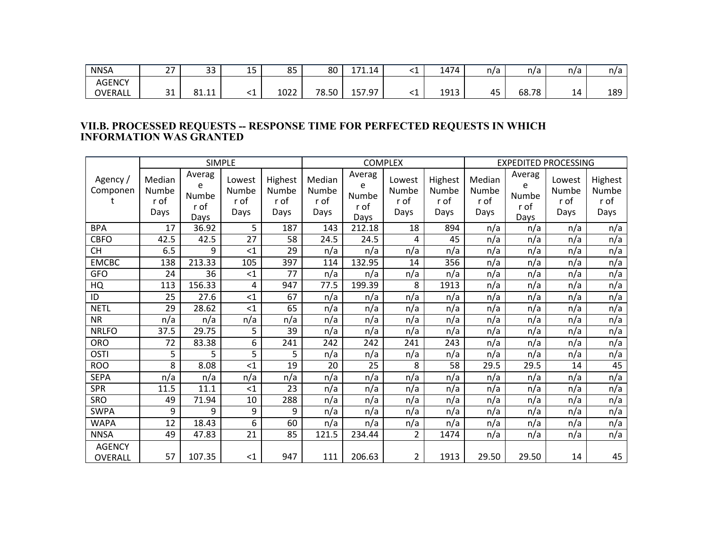| <b>NNSA</b>    | $\sim$<br><u>.</u> | າາ<br>ັ | $\sim$ $-$<br>-- | 85   | 80    | 71.14<br>. | . . | 1474 | n/a | n/a   | n/a | n/a |
|----------------|--------------------|---------|------------------|------|-------|------------|-----|------|-----|-------|-----|-----|
| <b>AGENCY</b>  |                    |         |                  |      |       |            |     |      |     |       |     |     |
| <b>OVERALL</b> | $\mathbf{a}$<br>ັ  | 81.11   | ــ               | 1022 | 78.50 | 157.97     | ــ  | 1913 | 45  | 68.78 | 14  | 189 |

#### **VII.B. PROCESSED REQUESTS -- RESPONSE TIME FOR PERFECTED REQUESTS IN WHICH INFORMATION WAS GRANTED**

|                          |                                 | <b>SIMPLE</b>                        |                                 |                                  |                                        |                                             | <b>COMPLEX</b>                  |                                  | <b>EXPEDITED PROCESSING</b>            |                                             |                                 |                                  |
|--------------------------|---------------------------------|--------------------------------------|---------------------------------|----------------------------------|----------------------------------------|---------------------------------------------|---------------------------------|----------------------------------|----------------------------------------|---------------------------------------------|---------------------------------|----------------------------------|
| Agency /<br>Componen     | Median<br>Numbe<br>r of<br>Days | Averag<br>e<br>Numbe<br>r of<br>Days | Lowest<br>Numbe<br>r of<br>Days | Highest<br>Numbe<br>r of<br>Days | Median<br><b>Numbe</b><br>r of<br>Days | Averag<br>e<br><b>Numbe</b><br>r of<br>Days | Lowest<br>Numbe<br>r of<br>Days | Highest<br>Numbe<br>r of<br>Days | Median<br><b>Numbe</b><br>r of<br>Days | Averag<br>e<br><b>Numbe</b><br>r of<br>Days | Lowest<br>Numbe<br>r of<br>Days | Highest<br>Numbe<br>r of<br>Days |
| <b>BPA</b>               | 17                              | 36.92                                | 5                               | 187                              | 143                                    | 212.18                                      | 18                              | 894                              | n/a                                    | n/a                                         | n/a                             | n/a                              |
| <b>CBFO</b>              | 42.5                            | 42.5                                 | 27                              | 58                               | 24.5                                   | 24.5                                        | 4                               | 45                               | n/a                                    | n/a                                         | n/a                             | n/a                              |
| <b>CH</b>                | 6.5                             | 9                                    | $<$ 1                           | 29                               | n/a                                    | n/a                                         | n/a                             | n/a                              | n/a                                    | n/a                                         | n/a                             | n/a                              |
| <b>EMCBC</b>             | 138                             | 213.33                               | 105                             | 397                              | 114                                    | 132.95                                      | 14                              | 356                              | n/a                                    | n/a                                         | n/a                             | n/a                              |
| <b>GFO</b>               | 24                              | 36                                   | $<$ 1                           | 77                               | n/a                                    | n/a                                         | n/a                             | n/a                              | n/a                                    | n/a                                         | n/a                             | n/a                              |
| HQ                       | 113                             | 156.33                               | 4                               | 947                              | 77.5                                   | 199.39                                      | 8                               | 1913                             | n/a                                    | n/a                                         | n/a                             | n/a                              |
| ID                       | 25                              | 27.6                                 | $<$ 1                           | 67                               | n/a                                    | n/a                                         | n/a                             | n/a                              | n/a                                    | n/a                                         | n/a                             | n/a                              |
| <b>NETL</b>              | 29                              | 28.62                                | $<$ 1                           | 65                               | n/a                                    | n/a                                         | n/a                             | n/a                              | n/a                                    | n/a                                         | n/a                             | n/a                              |
| <b>NR</b>                | n/a                             | n/a                                  | n/a                             | n/a                              | n/a                                    | n/a                                         | n/a                             | n/a                              | n/a                                    | n/a                                         | n/a                             | n/a                              |
| <b>NRLFO</b>             | 37.5                            | 29.75                                | 5                               | 39                               | n/a                                    | n/a                                         | n/a                             | n/a                              | n/a                                    | n/a                                         | n/a                             | n/a                              |
| <b>ORO</b>               | 72                              | 83.38                                | 6                               | 241                              | 242                                    | 242                                         | 241                             | 243                              | n/a                                    | n/a                                         | n/a                             | n/a                              |
| <b>OSTI</b>              | 5                               | 5                                    | 5                               | 5                                | n/a                                    | n/a                                         | n/a                             | n/a                              | n/a                                    | n/a                                         | n/a                             | n/a                              |
| <b>ROO</b>               | 8                               | 8.08                                 | $<$ 1                           | 19                               | 20                                     | 25                                          | 8                               | 58                               | 29.5                                   | 29.5                                        | 14                              | 45                               |
| <b>SEPA</b>              | n/a                             | n/a                                  | n/a                             | n/a                              | n/a                                    | n/a                                         | n/a                             | n/a                              | n/a                                    | n/a                                         | n/a                             | n/a                              |
| <b>SPR</b>               | 11.5                            | 11.1                                 | $<$ 1                           | 23                               | n/a                                    | n/a                                         | n/a                             | n/a                              | n/a                                    | n/a                                         | n/a                             | n/a                              |
| SRO                      | 49                              | 71.94                                | 10                              | 288                              | n/a                                    | n/a                                         | n/a                             | n/a                              | n/a                                    | n/a                                         | n/a                             | n/a                              |
| <b>SWPA</b>              | 9                               | 9                                    | 9                               | 9                                | n/a                                    | n/a                                         | n/a                             | n/a                              | n/a                                    | n/a                                         | n/a                             | n/a                              |
| <b>WAPA</b>              | 12                              | 18.43                                | 6                               | 60                               | n/a                                    | n/a                                         | n/a                             | n/a                              | n/a                                    | n/a                                         | n/a                             | n/a                              |
| <b>NNSA</b>              | 49                              | 47.83                                | 21                              | 85                               | 121.5                                  | 234.44                                      | 2                               | 1474                             | n/a                                    | n/a                                         | n/a                             | n/a                              |
| <b>AGENCY</b><br>OVERALL | 57                              | 107.35                               | $<$ 1                           | 947                              | 111                                    | 206.63                                      | $\overline{2}$                  | 1913                             | 29.50                                  | 29.50                                       | 14                              | 45                               |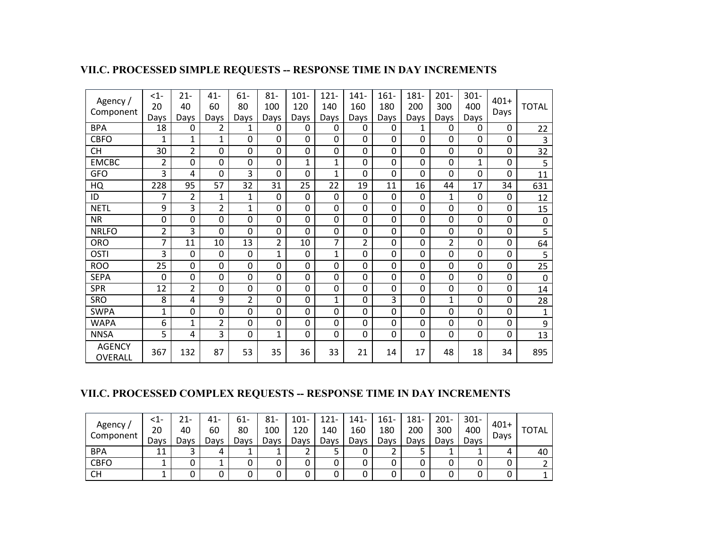|  | VII.C. PROCESSED SIMPLE REQUESTS -- RESPONSE TIME IN DAY INCREMENTS |
|--|---------------------------------------------------------------------|
|  |                                                                     |

| Agency /<br>Component    | $<1-$<br>20<br>Days | $21 -$<br>40<br>Days | 41-<br>60<br>Days | $61-$<br>80<br>Days | $81 -$<br>100<br>Days | $101 -$<br>120<br>Days | $121 -$<br>140<br>Days | $141 -$<br>160<br>Days | $161 -$<br>180<br>Days | 181-<br>200<br>Days | $201 -$<br>300<br>Days | $301 -$<br>400<br>Days | $401+$<br>Days | <b>TOTAL</b>            |
|--------------------------|---------------------|----------------------|-------------------|---------------------|-----------------------|------------------------|------------------------|------------------------|------------------------|---------------------|------------------------|------------------------|----------------|-------------------------|
| <b>BPA</b>               | 18                  | 0                    | $\overline{2}$    | 1                   | 0                     | 0                      | $\mathbf{0}$           | $\mathbf{0}$           | 0                      | 1                   | 0                      | 0                      | 0              | 22                      |
| <b>CBFO</b>              | 1                   | 1                    | 1                 | 0                   | 0                     | 0                      | 0                      | $\mathbf 0$            | 0                      | 0                   | 0                      | 0                      | 0              | $\overline{\mathbf{3}}$ |
| <b>CH</b>                | 30                  | 2                    | 0                 | 0                   | 0                     | 0                      | 0                      | $\mathbf 0$            | 0                      | 0                   | 0                      | 0                      | $\mathbf 0$    | 32                      |
| <b>EMCBC</b>             | 2                   | 0                    | 0                 | 0                   | $\overline{0}$        | 1                      | $\mathbf 1$            | $\Omega$               | 0                      | 0                   | 0                      | $\mathbf{1}$           | $\overline{0}$ | 5                       |
| <b>GFO</b>               | 3                   | 4                    | 0                 | 3                   | 0                     | 0                      | $\mathbf 1$            | $\mathbf{0}$           | 0                      | 0                   | 0                      | 0                      | 0              | 11                      |
| HQ                       | 228                 | 95                   | 57                | 32                  | 31                    | 25                     | 22                     | 19                     | 11                     | 16                  | 44                     | 17                     | 34             | 631                     |
| ID                       | 7                   | $\overline{2}$       | 1                 | $\mathbf{1}$        | 0                     | 0                      | 0                      | $\Omega$               | $\Omega$               | 0                   | 1                      | 0                      | 0              | 12                      |
| <b>NETL</b>              | 9                   | 3                    | $\overline{2}$    | 1                   | 0                     | 0                      | 0                      | $\Omega$               | 0                      | 0                   | 0                      | 0                      | $\Omega$       | 15                      |
| <b>NR</b>                | 0                   | 0                    | 0                 | 0                   | 0                     | 0                      | 0                      | $\Omega$               | 0                      | 0                   | 0                      | 0                      | 0              | $\pmb{0}$               |
| <b>NRLFO</b>             | 2                   | 3                    | $\mathbf{0}$      | 0                   | 0                     | 0                      | 0                      | $\mathbf{0}$           | $\mathbf 0$            | 0                   | 0                      | 0                      | 0              | 5                       |
| <b>ORO</b>               | 7                   | 11                   | 10                | 13                  | $\overline{2}$        | 10                     | $\overline{7}$         | $\overline{2}$         | 0                      | 0                   | $\overline{2}$         | 0                      | $\mathbf 0$    | 64                      |
| <b>OSTI</b>              | 3                   | 0                    | 0                 | 0                   | 1                     | 0                      | 1                      | $\Omega$               | 0                      | 0                   | 0                      | 0                      | $\mathbf 0$    | 5                       |
| <b>ROO</b>               | 25                  | 0                    | 0                 | 0                   | 0                     | 0                      | 0                      | $\Omega$               | 0                      | 0                   | 0                      | 0                      | $\Omega$       | 25                      |
| <b>SEPA</b>              | 0                   | 0                    | 0                 | 0                   | 0                     | 0                      | 0                      | 0                      | 0                      | 0                   | 0                      | 0                      | 0              | $\mathbf 0$             |
| <b>SPR</b>               | 12                  | $\overline{2}$       | 0                 | 0                   | 0                     | 0                      | 0                      | $\mathbf 0$            | 0                      | 0                   | 0                      | 0                      | 0              | 14                      |
| <b>SRO</b>               | 8                   | 4                    | 9                 | $\overline{2}$      | 0                     | 0                      | $\mathbf 1$            | $\Omega$               | 3                      | 0                   | 1                      | 0                      | $\mathbf 0$    | 28                      |
| <b>SWPA</b>              | $\mathbf{1}$        | 0                    | 0                 | 0                   | 0                     | 0                      | 0                      | $\Omega$               | 0                      | 0                   | 0                      | 0                      | 0              | $\mathbf{1}$            |
| <b>WAPA</b>              | 6                   | $\mathbf{1}$         | $\overline{2}$    | 0                   | 0                     | 0                      | 0                      | $\Omega$               | 0                      | 0                   | 0                      | 0                      | 0              | 9                       |
| <b>NNSA</b>              | $\overline{5}$      | 4                    | 3                 | 0                   | $\mathbf{1}$          | 0                      | 0                      | $\mathbf{0}$           | 0                      | 0                   | 0                      | 0                      | 0              | 13                      |
| <b>AGENCY</b><br>OVERALL | 367                 | 132                  | 87                | 53                  | 35                    | 36                     | 33                     | 21                     | 14                     | 17                  | 48                     | 18                     | 34             | 895                     |

# **VII.C. PROCESSED COMPLEX REQUESTS -- RESPONSE TIME IN DAY INCREMENTS**

| Agency,<br>Component | -12<br>20<br>Davs | ZI-<br>40<br>Davs | 41-<br>60<br>Days | 61-<br>80<br>Davs | 81-<br>100<br>Days | 101-<br>120<br>Davs | 121<br>140<br>Davs | -141<br>160<br>Days | $161 -$<br>180<br>Days | 181<br>200<br>Days | $201 -$<br>300<br>Days | $301 -$<br>400<br>Days | $401+$<br>Days | <b>TOTAL</b> |
|----------------------|-------------------|-------------------|-------------------|-------------------|--------------------|---------------------|--------------------|---------------------|------------------------|--------------------|------------------------|------------------------|----------------|--------------|
| <b>BPA</b>           | 11                |                   | 4                 |                   |                    |                     |                    |                     |                        |                    |                        |                        | 4              | 40           |
| <b>CBFO</b>          |                   |                   |                   |                   |                    |                     | 0                  |                     |                        |                    |                        |                        |                |              |
| <b>CH</b>            |                   |                   |                   | U                 |                    |                     | 0                  |                     |                        |                    |                        |                        |                |              |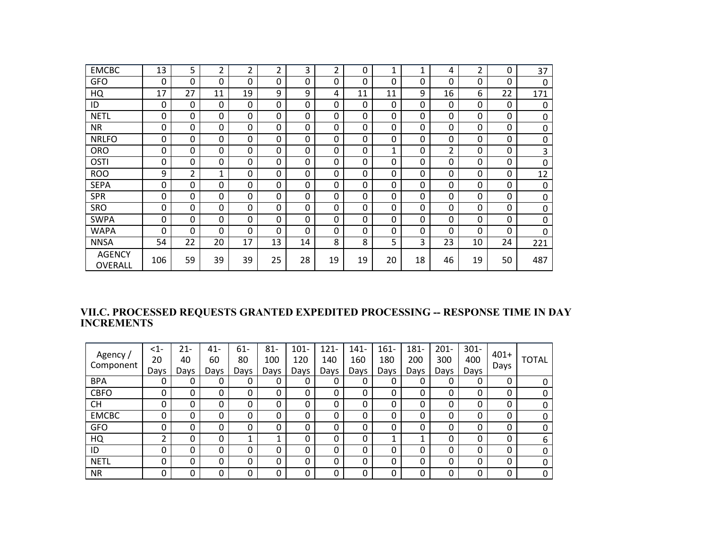| <b>EMCBC</b>             | 13  | 5              | 2            | 2            | $\overline{2}$ | 3  | 2  | 0  | $\mathbf{1}$ | $\mathbf{1}$ | 4              | 2  | 0  | 37           |
|--------------------------|-----|----------------|--------------|--------------|----------------|----|----|----|--------------|--------------|----------------|----|----|--------------|
| <b>GFO</b>               | 0   | 0              | $\Omega$     | $\mathbf{0}$ | 0              | 0  | 0  | 0  | $\Omega$     | 0            | 0              | 0  | 0  | $\mathbf{0}$ |
| HQ                       | 17  | 27             | 11           | 19           | 9              | 9  | 4  | 11 | 11           | 9            | 16             | 6  | 22 | 171          |
| ID                       | 0   | 0              | 0            | $\mathbf{0}$ | 0              | 0  | 0  | 0  | $\Omega$     | 0            | 0              | 0  | 0  | 0            |
| <b>NETL</b>              | 0   | 0              | $\Omega$     | 0            | 0              | 0  | 0  | 0  | $\Omega$     | 0            | 0              | 0  | 0  | 0            |
| <b>NR</b>                | 0   | 0              | 0            | 0            | 0              | 0  | 0  | 0  | $\Omega$     | 0            | 0              | 0  | 0  | 0            |
| <b>NRLFO</b>             | 0   | 0              | 0            | 0            | 0              | 0  | 0  | 0  | $\Omega$     | 0            | 0              | 0  | 0  | 0            |
| <b>ORO</b>               | 0   | 0              | 0            | 0            | 0              | 0  | 0  | 0  | 1            | $\Omega$     | $\overline{2}$ | 0  | 0  | 3            |
| <b>OSTI</b>              | 0   | 0              | $\Omega$     | 0            | 0              | 0  | 0  | 0  | $\Omega$     | 0            | 0              | 0  | 0  | 0            |
| <b>ROO</b>               | 9   | $\overline{2}$ | $\mathbf{1}$ | 0            | 0              | 0  | 0  | 0  | $\Omega$     | 0            | 0              | 0  | 0  | 12           |
| <b>SEPA</b>              | 0   | 0              | 0            | 0            | $\Omega$       | 0  | 0  | 0  | $\Omega$     | 0            | 0              | 0  | 0  | 0            |
| <b>SPR</b>               | 0   | 0              | $\Omega$     | $\mathbf 0$  | $\Omega$       | 0  | 0  | 0  | $\mathbf{0}$ | 0            | 0              | 0  | 0  | 0            |
| SRO                      | 0   | 0              | 0            | 0            | $\Omega$       | 0  | 0  | 0  | $\mathbf{0}$ | 0            | 0              | 0  | 0  | $\mathbf 0$  |
| <b>SWPA</b>              | 0   | 0              | 0            | 0            | 0              | 0  | 0  | 0  | $\Omega$     | 0            | 0              | 0  | 0  | 0            |
| WAPA                     | 0   | 0              | $\Omega$     | $\Omega$     | 0              | 0  | 0  | 0  | $\Omega$     | $\Omega$     | 0              | 0  | 0  | $\Omega$     |
| <b>NNSA</b>              | 54  | 22             | 20           | 17           | 13             | 14 | 8  | 8  | 5            | 3            | 23             | 10 | 24 | 221          |
| <b>AGENCY</b><br>OVERALL | 106 | 59             | 39           | 39           | 25             | 28 | 19 | 19 | 20           | 18           | 46             | 19 | 50 | 487          |

#### **VII.C. PROCESSED REQUESTS GRANTED EXPEDITED PROCESSING -- RESPONSE TIME IN DAY INCREMENTS**

| Agency /<br>Component | $<1-$<br>20 | 21-<br>40 | 41-<br>60 | $61 -$<br>80 | $81 -$<br>100 | $101 -$<br>120 | $121 -$<br>140 | $141 -$<br>160 | $161 -$<br>180 | 181-<br>200 | $201 -$<br>300 | $301 -$<br>400 | $401+$<br>Days | <b>TOTAL</b> |
|-----------------------|-------------|-----------|-----------|--------------|---------------|----------------|----------------|----------------|----------------|-------------|----------------|----------------|----------------|--------------|
| <b>BPA</b>            | Days<br>0   | Days<br>0 | Days      | Days<br>0    | Days<br>0     | Days<br>0      | Days<br>0      | Days<br>0      | Days           | Days        | Days<br>0      | Days           | 0              |              |
| <b>CBFO</b>           | 0           | 0         | 0         | 0            | 0             | 0              | 0              | 0              | 0              | 0           | 0              | 0              | 0              |              |
| <b>CH</b>             | 0           | 0         | 0         | 0            | 0             | 0              | 0              | 0              | 0              | 0           | 0              |                | 0              |              |
| <b>EMCBC</b>          | 0           | 0         | 0         | 0            | 0             | 0              | 0              | 0              | 0              | 0           | 0              |                | 0              |              |
| <b>GFO</b>            | 0           | 0         | 0         | 0            | 0             | 0              | 0              | 0              | 0              | 0           | 0              | 0              | 0              | <sup>0</sup> |
| HQ                    | າ           | 0         | 0         | 1<br>┻       |               | 0              | 0              | 0              |                |             | 0              | 0              | 0              | 6            |
| ID                    | 0           | 0         | 0         | 0            | 0             | 0              | 0              | 0              | 0              | 0           | 0              |                | 0              | <sup>0</sup> |
| <b>NETL</b>           | 0           | 0         | 0         | 0            | 0             | 0              | 0              | 0              | 0              | 0           | 0              | 0              | 0              | <sup>0</sup> |
| <b>NR</b>             | 0           | 0         | 0         | 0            | 0             | 0              | 0              | 0              | 0              | 0           | 0              | 0              | 0              | 0            |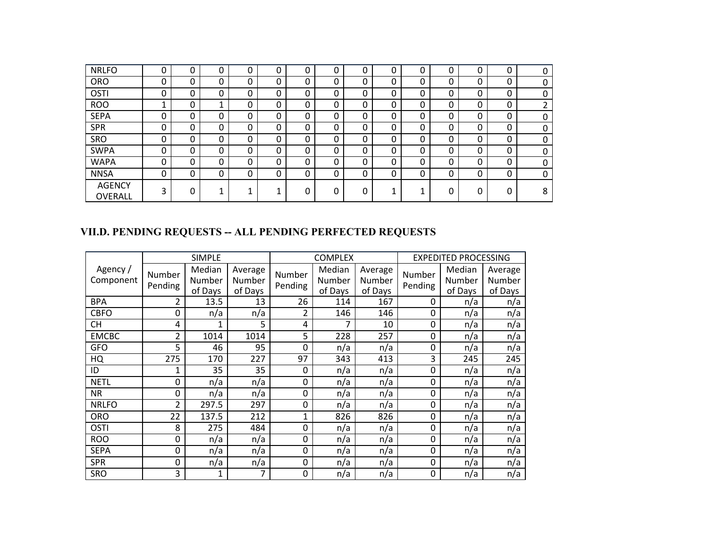| <b>NRLFO</b>             | 0 | 0        | 0 | 0 | 0 | 0 | 0            | 0 | 0 | 0 | 0 | ∩<br>υ | 0 | 0 |
|--------------------------|---|----------|---|---|---|---|--------------|---|---|---|---|--------|---|---|
| <b>ORO</b>               | 0 | $\Omega$ | 0 | 0 | 0 | 0 | 0            | 0 | 0 | 0 | 0 | 0      | 0 | 0 |
| OSTI                     | 0 | $\Omega$ | 0 | 0 | 0 | 0 | 0            | 0 | 0 | 0 | 0 | 0      | 0 | 0 |
| <b>ROO</b>               |   | 0        |   | 0 | 0 | 0 | 0            | 0 | 0 | 0 | 0 | ∩<br>U | 0 |   |
| <b>SEPA</b>              | 0 | $\Omega$ | 0 | 0 | 0 | 0 | $\mathbf{0}$ | 0 | 0 | 0 | 0 | 0      | 0 | 0 |
| <b>SPR</b>               | 0 | $\Omega$ | 0 | 0 | 0 | 0 | 0            | 0 | 0 | 0 | 0 | 0      | 0 | 0 |
| SRO                      | 0 | $\Omega$ | 0 | 0 | 0 | 0 | 0            | 0 | 0 | 0 | 0 | 0      | 0 | 0 |
| <b>SWPA</b>              | 0 | $\Omega$ | 0 | 0 | 0 | 0 | 0            | 0 | 0 | 0 | 0 | 0      | 0 | 0 |
| <b>WAPA</b>              | 0 | $\Omega$ | 0 | 0 | 0 | 0 | 0            | 0 | 0 | 0 | 0 | 0      | 0 | 0 |
| <b>NNSA</b>              | 0 | 0        | ი | 0 | 0 | 0 | 0            |   | 0 | 0 | 0 | C<br>υ | 0 | 0 |
| <b>AGENCY</b><br>OVERALL | 3 | 0        |   | л |   | 0 | 0            |   | 4 | л |   | 0      | 0 | 8 |

# **VII.D. PENDING REQUESTS -- ALL PENDING PERFECTED REQUESTS**

|                       |                   | <b>SIMPLE</b>               |                              |                   | <b>COMPLEX</b>              |                              |                   | <b>EXPEDITED PROCESSING</b> |                              |
|-----------------------|-------------------|-----------------------------|------------------------------|-------------------|-----------------------------|------------------------------|-------------------|-----------------------------|------------------------------|
| Agency /<br>Component | Number<br>Pending | Median<br>Number<br>of Days | Average<br>Number<br>of Days | Number<br>Pending | Median<br>Number<br>of Days | Average<br>Number<br>of Days | Number<br>Pending | Median<br>Number<br>of Days | Average<br>Number<br>of Days |
| <b>BPA</b>            | 2                 | 13.5                        | 13                           | 26                | 114                         | 167                          | 0                 | n/a                         | n/a                          |
| <b>CBFO</b>           | $\mathbf{0}$      | n/a                         | n/a                          | 2                 | 146                         | 146                          | 0                 | n/a                         | n/a                          |
| <b>CH</b>             | 4                 | 1                           | 5                            | 4                 | 7                           | 10                           | 0                 | n/a                         | n/a                          |
| <b>EMCBC</b>          | 2                 | 1014                        | 1014                         | 5                 | 228                         | 257                          | 0                 | n/a                         | n/a                          |
| <b>GFO</b>            | 5                 | 46                          | 95                           | 0                 | n/a                         | n/a                          | 0                 | n/a                         | n/a                          |
| HQ                    | 275               | 170                         | 227                          | 97                | 343                         | 413                          | 3                 | 245                         | 245                          |
| ID                    | 1                 | 35                          | 35                           | 0                 | n/a                         | n/a                          | 0                 | n/a                         | n/a                          |
| <b>NETL</b>           | $\mathbf{0}$      | n/a                         | n/a                          | 0                 | n/a                         | n/a                          | 0                 | n/a                         | n/a                          |
| <b>NR</b>             | $\mathbf{0}$      | n/a                         | n/a                          | 0                 | n/a                         | n/a                          | 0                 | n/a                         | n/a                          |
| <b>NRLFO</b>          | 2                 | 297.5                       | 297                          | 0                 | n/a                         | n/a                          | 0                 | n/a                         | n/a                          |
| <b>ORO</b>            | 22                | 137.5                       | 212                          | 1                 | 826                         | 826                          | 0                 | n/a                         | n/a                          |
| <b>OSTI</b>           | 8                 | 275                         | 484                          | 0                 | n/a                         | n/a                          | 0                 | n/a                         | n/a                          |
| <b>ROO</b>            | $\mathbf 0$       | n/a                         | n/a                          | 0                 | n/a                         | n/a                          | 0                 | n/a                         | n/a                          |
| <b>SEPA</b>           | $\mathbf{0}$      | n/a                         | n/a                          | 0                 | n/a                         | n/a                          | 0                 | n/a                         | n/a                          |
| <b>SPR</b>            | $\mathbf{0}$      | n/a                         | n/a                          | 0                 | n/a                         | n/a                          | 0                 | n/a                         | n/a                          |
| <b>SRO</b>            | 3                 | 1                           | 7                            | 0                 | n/a                         | n/a                          | 0                 | n/a                         | n/a                          |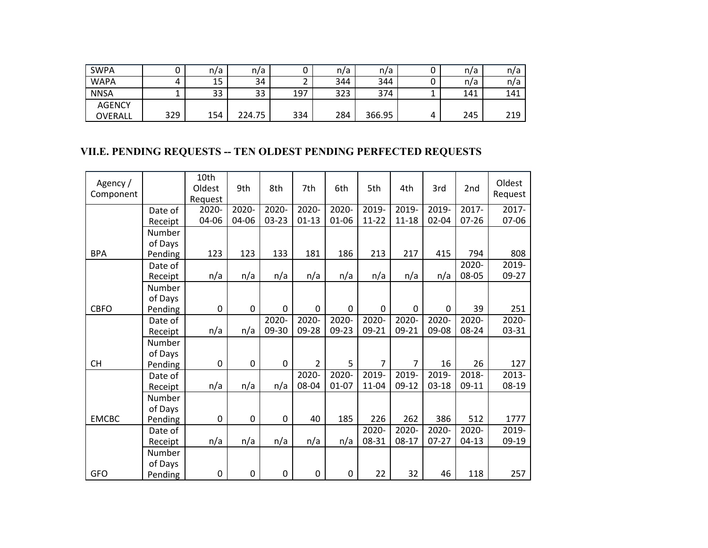| SWPA          |     | n/a | n/a    |     | n/a | n/a    |   | n/a | n/a |
|---------------|-----|-----|--------|-----|-----|--------|---|-----|-----|
| <b>WAPA</b>   |     | 15  | 34     | ے   | 344 | 344    |   | n/a | n/a |
| <b>NNSA</b>   |     | 33  | 33     | 197 | 323 | 374    |   | 141 | 141 |
| <b>AGENCY</b> |     |     |        |     |     |        |   |     |     |
| OVERALL       | 329 | 154 | 224.75 | 334 | 284 | 366.95 | 4 | 245 | 219 |

## **VII.E. PENDING REQUESTS -- TEN OLDEST PENDING PERFECTED REQUESTS**

| Agency /<br>Component |         | 10th<br>Oldest<br>Request | 9th         | 8th      | 7th                 | 6th       | 5th            | 4th            | 3rd       | 2nd       | Oldest<br>Request |
|-----------------------|---------|---------------------------|-------------|----------|---------------------|-----------|----------------|----------------|-----------|-----------|-------------------|
|                       | Date of | 2020-                     | 2020-       | 2020-    | $\overline{2020}$ - | 2020-     | 2019-          | 2019-          | 2019-     | 2017-     | 2017-             |
|                       | Receipt | 04-06                     | 04-06       | 03-23    | $01-13$             | 01-06     | $11 - 22$      | $11 - 18$      | 02-04     | $07 - 26$ | 07-06             |
|                       | Number  |                           |             |          |                     |           |                |                |           |           |                   |
|                       | of Days |                           |             |          |                     |           |                |                |           |           |                   |
| <b>BPA</b>            | Pending | 123                       | 123         | 133      | 181                 | 186       | 213            | 217            | 415       | 794       | 808               |
|                       | Date of |                           |             |          |                     |           |                |                |           | 2020-     | 2019-             |
|                       | Receipt | n/a                       | n/a         | n/a      | n/a                 | n/a       | n/a            | n/a            | n/a       | 08-05     | 09-27             |
|                       | Number  |                           |             |          |                     |           |                |                |           |           |                   |
|                       | of Days |                           |             |          |                     |           |                |                |           |           |                   |
| <b>CBFO</b>           | Pending | 0                         | 0           | 0        | 0                   | 0         | 0              | 0              | 0         | 39        | 251               |
|                       | Date of |                           |             | $2020 -$ | 2020-               | $2020 -$  | $2020 -$       | 2020-          | 2020-     | 2020-     | 2020-             |
|                       | Receipt | n/a                       | n/a         | 09-30    | 09-28               | 09-23     | 09-21          | 09-21          | 09-08     | 08-24     | 03-31             |
|                       | Number  |                           |             |          |                     |           |                |                |           |           |                   |
|                       | of Days |                           |             |          |                     |           |                |                |           |           |                   |
| <b>CH</b>             | Pending | 0                         | $\mathbf 0$ | 0        | $\overline{2}$      | 5         | $\overline{7}$ | $\overline{7}$ | 16        | 26        | 127               |
|                       | Date of |                           |             |          | 2020-               | 2020-     | 2019-          | 2019-          | 2019-     | 2018-     | $2013 -$          |
|                       | Receipt | n/a                       | n/a         | n/a      | 08-04               | $01 - 07$ | $11 - 04$      | $09-12$        | $03 - 18$ | 09-11     | 08-19             |
|                       | Number  |                           |             |          |                     |           |                |                |           |           |                   |
|                       | of Days |                           |             |          |                     |           |                |                |           |           |                   |
| <b>EMCBC</b>          | Pending | 0                         | $\pmb{0}$   | 0        | 40                  | 185       | 226            | 262            | 386       | 512       | 1777              |
|                       | Date of |                           |             |          |                     |           | 2020-          | 2020-          | 2020-     | 2020-     | 2019-             |
|                       | Receipt | n/a                       | n/a         | n/a      | n/a                 | n/a       | 08-31          | $08-17$        | $07 - 27$ | $04-13$   | 09-19             |
|                       | Number  |                           |             |          |                     |           |                |                |           |           |                   |
|                       | of Days |                           |             |          |                     |           |                |                |           |           |                   |
| GFO                   | Pending | 0                         | 0           | 0        | 0                   | 0         | 22             | 32             | 46        | 118       | 257               |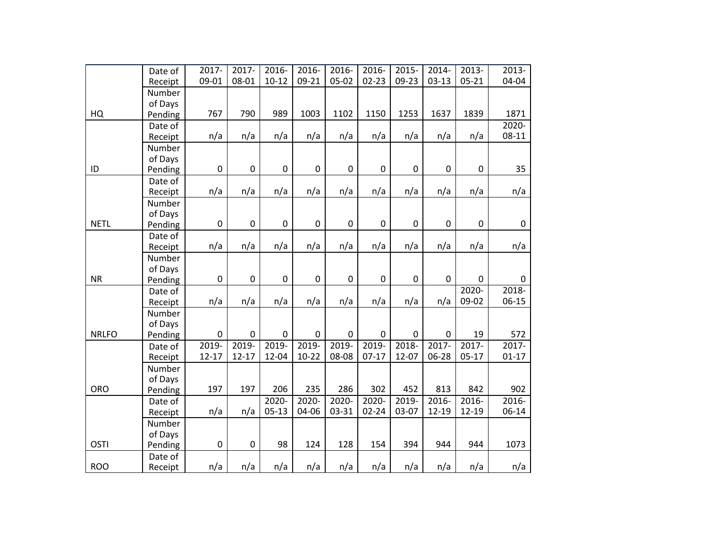|              | Date of           | 2017-       | 2017-       | 2016-       | 2016-       | 2016-       | 2016-       | 2015-            | $2014 -$            | 2013-       | 2013-     |
|--------------|-------------------|-------------|-------------|-------------|-------------|-------------|-------------|------------------|---------------------|-------------|-----------|
|              | Receipt           | 09-01       | 08-01       | $10 - 12$   | $09 - 21$   | 05-02       | $02 - 23$   | 09-23            | $03-13$             | $05 - 21$   | 04-04     |
|              | Number            |             |             |             |             |             |             |                  |                     |             |           |
|              | of Days           |             |             |             |             |             |             |                  |                     |             |           |
| HQ           | Pending           | 767         | 790         | 989         | 1003        | 1102        | 1150        | 1253             | 1637                | 1839        | 1871      |
|              | Date of           |             |             |             |             |             |             |                  |                     |             | $2020 -$  |
|              | Receipt           | n/a         | n/a         | n/a         | n/a         | n/a         | n/a         | n/a              | n/a                 | n/a         | 08-11     |
|              | Number            |             |             |             |             |             |             |                  |                     |             |           |
| ID           | of Days           | $\mathbf 0$ | $\mathbf 0$ | 0           | $\mathsf 0$ | $\mathbf 0$ | 0           | $\pmb{0}$        | 0                   | $\mathbf 0$ | 35        |
|              | Pending           |             |             |             |             |             |             |                  |                     |             |           |
|              | Date of           | n/a         | n/a         | n/a         | n/a         | n/a         | n/a         | n/a              | n/a                 | n/a         | n/a       |
|              | Receipt           |             |             |             |             |             |             |                  |                     |             |           |
|              | Number<br>of Days |             |             |             |             |             |             |                  |                     |             |           |
| <b>NETL</b>  | Pending           | $\mathbf 0$ | $\pmb{0}$   | 0           | $\mathsf 0$ | $\mathbf 0$ | 0           | $\boldsymbol{0}$ | 0                   | $\mathbf 0$ | $\pmb{0}$ |
|              | Date of           |             |             |             |             |             |             |                  |                     |             |           |
|              | Receipt           | n/a         | n/a         | n/a         | n/a         | n/a         | n/a         | n/a              | n/a                 | n/a         | n/a       |
|              | Number            |             |             |             |             |             |             |                  |                     |             |           |
|              | of Days           |             |             |             |             |             |             |                  |                     |             |           |
| <b>NR</b>    | Pending           | $\mathbf 0$ | $\pmb{0}$   | 0           | 0           | $\mathsf 0$ | 0           | $\boldsymbol{0}$ | 0                   | $\mathbf 0$ | 0         |
|              | Date of           |             |             |             |             |             |             |                  |                     | 2020-       | $2018 -$  |
|              | Receipt           | n/a         | n/a         | n/a         | n/a         | n/a         | n/a         | n/a              | n/a                 | 09-02       | 06-15     |
|              | Number            |             |             |             |             |             |             |                  |                     |             |           |
|              | of Days           |             |             |             |             |             |             |                  |                     |             |           |
| <b>NRLFO</b> | Pending           | $\mathbf 0$ | $\mathbf 0$ | $\mathbf 0$ | 0           | $\mathbf 0$ | $\mathbf 0$ | $\mathbf 0$      | $\mathbf 0$         | 19          | 572       |
|              | Date of           | 2019-       | 2019-       | 2019-       | 2019-       | 2019-       | 2019-       | 2018-            | 2017-               | $2017 -$    | $2017 -$  |
|              | Receipt           | $12 - 17$   | $12 - 17$   | 12-04       | $10 - 22$   | 08-08       | $07-17$     | 12-07            | 06-28               | $05-17$     | $01-17$   |
|              | Number            |             |             |             |             |             |             |                  |                     |             |           |
|              | of Days           |             |             |             |             |             |             |                  |                     |             |           |
| <b>ORO</b>   | Pending           | 197         | 197         | 206         | 235         | 286         | 302         | 452              | 813                 | 842         | 902       |
|              | Date of           |             |             | $2020 -$    | 2020-       | 2020-       | $2020 -$    | 2019-            | $\overline{2}016 -$ | 2016-       | $2016 -$  |
|              | Receipt           | n/a         | n/a         | $05-13$     | 04-06       | 03-31       | $02 - 24$   | 03-07            | 12-19               | 12-19       | 06-14     |
|              | Number            |             |             |             |             |             |             |                  |                     |             |           |
|              | of Days           |             |             |             |             |             |             |                  |                     |             |           |
| <b>OSTI</b>  | Pending           | $\pmb{0}$   | 0           | 98          | 124         | 128         | 154         | 394              | 944                 | 944         | 1073      |
|              | Date of           |             |             |             |             |             |             |                  |                     |             |           |
| <b>ROO</b>   | Receipt           | n/a         | n/a         | n/a         | n/a         | n/a         | n/a         | n/a              | n/a                 | n/a         | n/a       |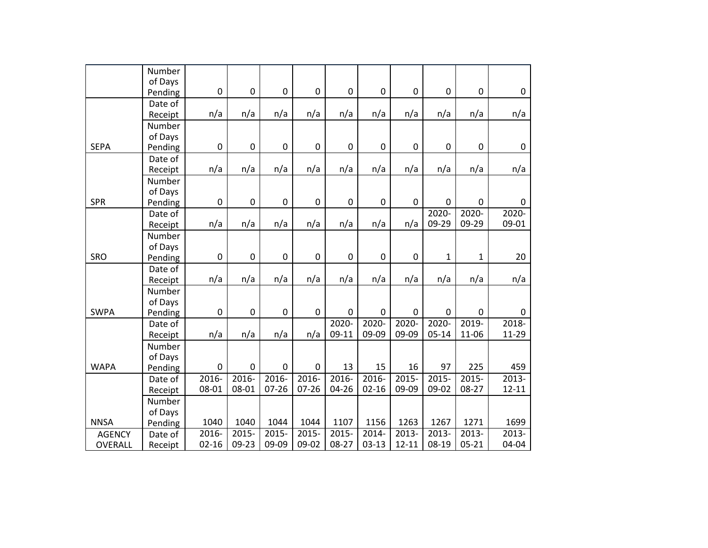|               | Number  |             |             |             |             |             |                  |           |              |                  |             |
|---------------|---------|-------------|-------------|-------------|-------------|-------------|------------------|-----------|--------------|------------------|-------------|
|               | of Days |             |             |             |             |             |                  |           |              |                  |             |
|               | Pending | 0           | 0           | 0           | $\pmb{0}$   | 0           | 0                | 0         | 0            | $\boldsymbol{0}$ | 0           |
|               | Date of |             |             |             |             |             |                  |           |              |                  |             |
|               | Receipt | n/a         | n/a         | n/a         | n/a         | n/a         | n/a              | n/a       | n/a          | n/a              | n/a         |
|               | Number  |             |             |             |             |             |                  |           |              |                  |             |
|               | of Days |             |             |             |             |             |                  |           |              |                  |             |
| <b>SEPA</b>   | Pending | 0           | $\pmb{0}$   | 0           | 0           | 0           | 0                | 0         | 0            | $\pmb{0}$        | 0           |
|               | Date of |             |             |             |             |             |                  |           |              |                  |             |
|               | Receipt | n/a         | n/a         | n/a         | n/a         | n/a         | n/a              | n/a       | n/a          | n/a              | n/a         |
|               | Number  |             |             |             |             |             |                  |           |              |                  |             |
|               | of Days |             |             |             |             |             |                  |           |              |                  |             |
| <b>SPR</b>    | Pending | $\mathbf 0$ | $\mathbf 0$ | $\mathbf 0$ | $\mathbf 0$ | $\mathbf 0$ | $\mathbf 0$      | 0         | 0            | $\pmb{0}$        | $\mathbf 0$ |
|               | Date of |             |             |             |             |             |                  |           | $2020 -$     | $2020 -$         | $2020 -$    |
|               | Receipt | n/a         | n/a         | n/a         | n/a         | n/a         | n/a              | n/a       | 09-29        | 09-29            | 09-01       |
|               | Number  |             |             |             |             |             |                  |           |              |                  |             |
|               | of Days |             |             |             |             |             |                  |           |              |                  |             |
| SRO           | Pending | $\mathbf 0$ | 0           | $\mathbf 0$ | $\mathbf 0$ | $\mathbf 0$ | $\boldsymbol{0}$ | 0         | $\mathbf{1}$ | $\mathbf{1}$     | 20          |
|               | Date of |             |             |             |             |             |                  |           |              |                  |             |
|               | Receipt | n/a         | n/a         | n/a         | n/a         | n/a         | n/a              | n/a       | n/a          | n/a              | n/a         |
|               | Number  |             |             |             |             |             |                  |           |              |                  |             |
|               | of Days |             |             |             |             |             |                  |           |              |                  |             |
| <b>SWPA</b>   | Pending | 0           | 0           | $\pmb{0}$   | $\mathbf 0$ | 0           | 0                | 0         | 0            | $\pmb{0}$        | $\mathbf 0$ |
|               | Date of |             |             |             |             | 2020-       | 2020-            | 2020-     | 2020-        | 2019-            | $2018 -$    |
|               | Receipt | n/a         | n/a         | n/a         | n/a         | 09-11       | 09-09            | 09-09     | $05 - 14$    | 11-06            | 11-29       |
|               | Number  |             |             |             |             |             |                  |           |              |                  |             |
|               | of Days |             |             |             |             |             |                  |           |              |                  |             |
| <b>WAPA</b>   | Pending | 0           | $\pmb{0}$   | 0           | 0           | 13          | 15               | 16        | 97           | 225              | 459         |
|               | Date of | $2016 -$    | $2016 -$    | $2016 -$    | $2016 -$    | $2016 -$    | $2016 -$         | $2015 -$  | $2015 -$     | $2015 -$         | $2013 -$    |
|               | Receipt | 08-01       | 08-01       | $07 - 26$   | $07 - 26$   | 04-26       | $02 - 16$        | 09-09     | 09-02        | 08-27            | $12 - 11$   |
|               | Number  |             |             |             |             |             |                  |           |              |                  |             |
|               | of Days |             |             |             |             |             |                  |           |              |                  |             |
| <b>NNSA</b>   | Pending | 1040        | 1040        | 1044        | 1044        | 1107        | 1156             | 1263      | 1267         | 1271             | 1699        |
| <b>AGENCY</b> | Date of | 2016-       | 2015-       | 2015-       | 2015-       | 2015-       | 2014-            | 2013-     | 2013-        | $2013 -$         | $2013 -$    |
| OVERALL       | Receipt | $02 - 16$   | 09-23       | 09-09       | 09-02       | 08-27       | $03-13$          | $12 - 11$ | 08-19        | $05 - 21$        | 04-04       |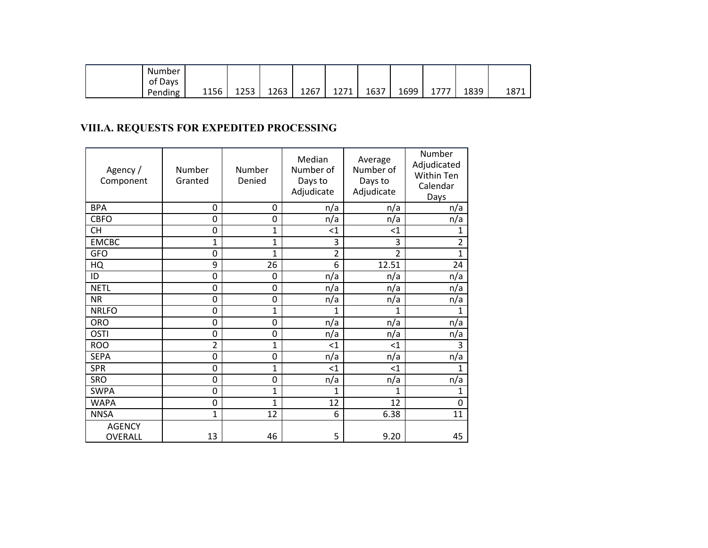| . .<br>Number       |      |            |      |      |              |      |      |            |      |      |
|---------------------|------|------------|------|------|--------------|------|------|------------|------|------|
| <b>Davs</b><br>οt   |      |            |      |      |              |      |      |            |      |      |
| $\cdots$<br>Pending | 1156 | つちつ<br>ᅭᄼᇰ | 1263 | 1267 | 1271<br>ᅩ᠘/ㅗ | 1637 | 1699 | 777<br>- 1 | 1839 | 1871 |

# **VIII.A. REQUESTS FOR EXPEDITED PROCESSING**

| Agency /<br>Component    | Number<br>Granted | Number<br>Denied | Median<br>Number of<br>Days to<br>Adjudicate | Average<br>Number of<br>Days to<br>Adjudicate | Number<br>Adjudicated<br>Within Ten<br>Calendar<br>Days |
|--------------------------|-------------------|------------------|----------------------------------------------|-----------------------------------------------|---------------------------------------------------------|
| <b>BPA</b>               | 0                 | 0                | n/a                                          | n/a                                           | n/a                                                     |
| <b>CBFO</b>              | 0                 | 0                | n/a                                          | n/a                                           | n/a                                                     |
| <b>CH</b>                | 0                 | 1                | $<$ 1                                        | $<$ 1                                         | 1                                                       |
| <b>EMCBC</b>             | 1                 | $\mathbf{1}$     | $\overline{3}$                               | $\overline{3}$                                | $\overline{2}$                                          |
| <b>GFO</b>               | 0                 | 1                | $\overline{2}$                               | $\overline{2}$                                | $\overline{1}$                                          |
| HQ                       | 9                 | 26               | 6                                            | 12.51                                         | 24                                                      |
| ID                       | 0                 | 0                | n/a                                          | n/a                                           | n/a                                                     |
| <b>NETL</b>              | 0                 | 0                | n/a                                          | n/a                                           | n/a                                                     |
| <b>NR</b>                | 0                 | 0                | n/a                                          | n/a                                           | n/a                                                     |
| <b>NRLFO</b>             | 0                 | 1                | 1                                            | 1                                             | 1                                                       |
| <b>ORO</b>               | 0                 | 0                | n/a                                          | n/a                                           | n/a                                                     |
| <b>OSTI</b>              | 0                 | 0                | n/a                                          | n/a                                           | n/a                                                     |
| <b>ROO</b>               | $\overline{2}$    | 1                | $<$ 1                                        | $<$ 1                                         | 3                                                       |
| <b>SEPA</b>              | 0                 | 0                | n/a                                          | n/a                                           | n/a                                                     |
| <b>SPR</b>               | 0                 | 1                | $<$ 1                                        | $<$ 1                                         | 1                                                       |
| SRO                      | 0                 | 0                | n/a                                          | n/a                                           | n/a                                                     |
| <b>SWPA</b>              | 0                 | $\mathbf{1}$     | 1                                            | 1                                             | $\mathbf{1}$                                            |
| <b>WAPA</b>              | 0                 | 1                | 12                                           | 12                                            | 0                                                       |
| <b>NNSA</b>              | 1                 | 12               | 6                                            | 6.38                                          | 11                                                      |
| <b>AGENCY</b><br>OVERALL | 13                | 46               | 5                                            | 9.20                                          | 45                                                      |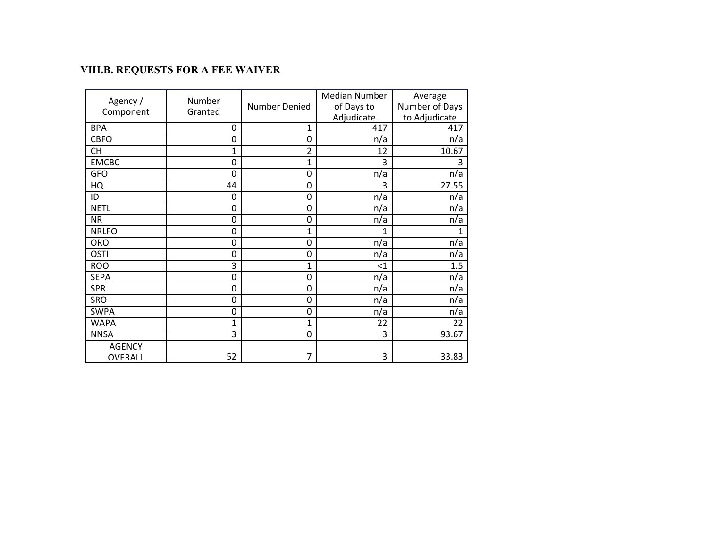# **VIII.B. REQUESTS FOR A FEE WAIVER**

| Agency /<br>Component    | Number<br>Granted | <b>Median Number</b><br>Number Denied |                   | Average<br>Number of Days<br>to Adjudicate |  |
|--------------------------|-------------------|---------------------------------------|-------------------|--------------------------------------------|--|
| <b>BPA</b>               | 0                 | 1                                     | Adjudicate<br>417 | 417                                        |  |
| <b>CBFO</b>              | 0                 | $\mathbf 0$                           | n/a               | n/a                                        |  |
| <b>CH</b>                | $\mathbf{1}$      | $\overline{2}$                        | 12                | 10.67                                      |  |
| <b>EMCBC</b>             | 0                 | $\mathbf{1}$                          | 3                 | 3                                          |  |
| <b>GFO</b>               | 0                 | 0                                     | n/a               | n/a                                        |  |
| HQ                       | 44                | $\mathbf 0$                           | 3                 | 27.55                                      |  |
| ID                       | 0                 | $\mathbf 0$                           | n/a               | n/a                                        |  |
| <b>NETL</b>              | 0                 | 0                                     | n/a               | n/a                                        |  |
| <b>NR</b>                | 0                 | 0                                     | n/a               | n/a                                        |  |
| <b>NRLFO</b>             | 0                 | 1                                     | 1                 | 1                                          |  |
| <b>ORO</b>               | 0                 | 0                                     | n/a               | n/a                                        |  |
| <b>OSTI</b>              | 0                 | 0                                     | n/a               | n/a                                        |  |
| <b>ROO</b>               | 3                 | 1                                     | $<$ 1             | 1.5                                        |  |
| <b>SEPA</b>              | 0                 | 0                                     | n/a               | n/a                                        |  |
| <b>SPR</b>               | 0                 | 0                                     | n/a               | n/a                                        |  |
| SRO                      | 0                 | 0                                     | n/a               | n/a                                        |  |
| <b>SWPA</b>              | 0                 | $\mathbf 0$                           | n/a               | n/a                                        |  |
| <b>WAPA</b>              | 1                 | $\overline{1}$                        | 22                | 22                                         |  |
| <b>NNSA</b>              | 3                 | 0                                     | 3                 | 93.67                                      |  |
| <b>AGENCY</b><br>OVERALL | 52                | 7                                     | 3                 | 33.83                                      |  |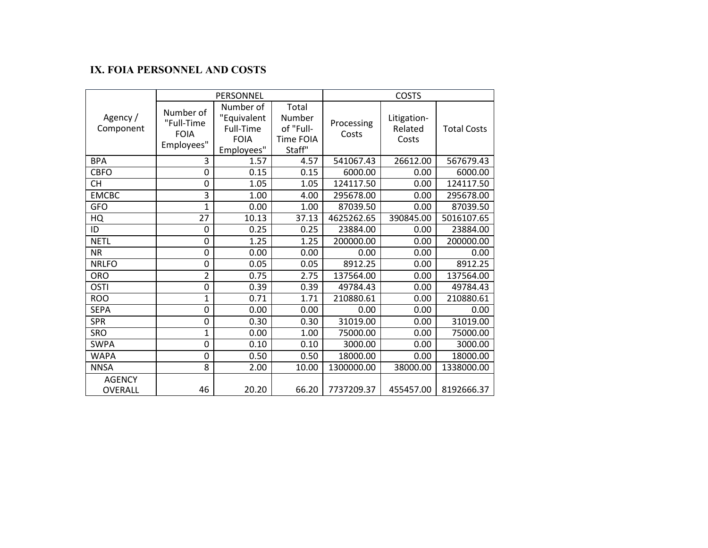### **IX. FOIA PERSONNEL AND COSTS**

|                          |                                                      | PERSONNEL                                                                                                                        |       | <b>COSTS</b>        |                                                       |            |  |
|--------------------------|------------------------------------------------------|----------------------------------------------------------------------------------------------------------------------------------|-------|---------------------|-------------------------------------------------------|------------|--|
| Agency /<br>Component    | Number of<br>"Full-Time<br><b>FOIA</b><br>Employees" | Number of<br>Total<br>"Equivalent<br>Number<br>of "Full-<br>Full-Time<br><b>FOIA</b><br><b>Time FOIA</b><br>Staff"<br>Employees" |       | Processing<br>Costs | Litigation-<br>Related<br><b>Total Costs</b><br>Costs |            |  |
| <b>BPA</b>               | 3                                                    | 1.57                                                                                                                             | 4.57  | 541067.43           | 26612.00                                              | 567679.43  |  |
| <b>CBFO</b>              | 0                                                    | 0.15                                                                                                                             | 0.15  | 6000.00             | 0.00                                                  | 6000.00    |  |
| <b>CH</b>                | 0                                                    | 1.05                                                                                                                             | 1.05  | 124117.50           | 0.00                                                  | 124117.50  |  |
| <b>EMCBC</b>             | 3                                                    | 1.00                                                                                                                             | 4.00  | 295678.00           | 0.00                                                  | 295678.00  |  |
| <b>GFO</b>               | 1                                                    | 0.00                                                                                                                             | 1.00  | 87039.50            | 0.00                                                  | 87039.50   |  |
| HQ                       | 27                                                   | 10.13                                                                                                                            | 37.13 | 4625262.65          | 390845.00                                             | 5016107.65 |  |
| ID                       | 0                                                    | 0.25                                                                                                                             | 0.25  | 23884.00            | 0.00                                                  | 23884.00   |  |
| <b>NETL</b>              | 0                                                    | 1.25                                                                                                                             | 1.25  | 200000.00           | 0.00                                                  | 200000.00  |  |
| <b>NR</b>                | 0                                                    | 0.00                                                                                                                             | 0.00  | 0.00                | 0.00                                                  | 0.00       |  |
| <b>NRLFO</b>             | 0                                                    | 0.05                                                                                                                             | 0.05  | 8912.25             | 0.00                                                  | 8912.25    |  |
| <b>ORO</b>               | $\overline{2}$                                       | 0.75                                                                                                                             | 2.75  | 137564.00           | 0.00                                                  | 137564.00  |  |
| <b>OSTI</b>              | 0                                                    | 0.39                                                                                                                             | 0.39  | 49784.43            | 0.00                                                  | 49784.43   |  |
| <b>ROO</b>               | $\mathbf{1}$                                         | 0.71                                                                                                                             | 1.71  | 210880.61           | 0.00                                                  | 210880.61  |  |
| <b>SEPA</b>              | 0                                                    | 0.00                                                                                                                             | 0.00  | 0.00                | 0.00                                                  | 0.00       |  |
| <b>SPR</b>               | 0                                                    | 0.30                                                                                                                             | 0.30  | 31019.00            | 0.00                                                  | 31019.00   |  |
| <b>SRO</b>               | 1                                                    | 0.00                                                                                                                             | 1.00  | 75000.00            | 0.00                                                  | 75000.00   |  |
| <b>SWPA</b>              | 0                                                    | 0.10                                                                                                                             | 0.10  | 3000.00             | 0.00                                                  | 3000.00    |  |
| <b>WAPA</b>              | 0                                                    | 0.50                                                                                                                             | 0.50  | 18000.00            | 0.00                                                  | 18000.00   |  |
| <b>NNSA</b>              | 8                                                    | 2.00                                                                                                                             | 10.00 | 1300000.00          | 38000.00                                              | 1338000.00 |  |
| <b>AGENCY</b><br>OVERALL | 46                                                   | 20.20                                                                                                                            | 66.20 | 7737209.37          | 455457.00                                             | 8192666.37 |  |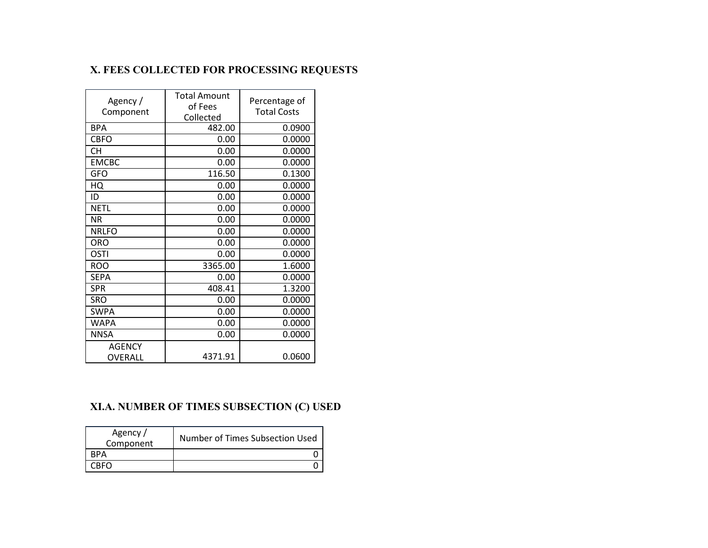# **X. FEES COLLECTED FOR PROCESSING REQUESTS**

| Agency/<br>Component     | <b>Total Amount</b><br>of Fees<br>Collected | Percentage of<br><b>Total Costs</b> |  |  |
|--------------------------|---------------------------------------------|-------------------------------------|--|--|
| <b>BPA</b>               | 482.00                                      | 0.0900                              |  |  |
| <b>CBFO</b>              | 0.00                                        | 0.0000                              |  |  |
| <b>CH</b>                | 0.00                                        | 0.0000                              |  |  |
| <b>EMCBC</b>             | 0.00                                        | 0.0000                              |  |  |
| <b>GFO</b>               | 116.50                                      | 0.1300                              |  |  |
| HQ                       | 0.00                                        | 0.0000                              |  |  |
| ID                       | 0.00                                        | 0.0000                              |  |  |
| <b>NETL</b>              | 0.00                                        | 0.0000                              |  |  |
| <b>NR</b>                | 0.00                                        | 0.0000                              |  |  |
| <b>NRLFO</b>             | 0.00                                        | 0.0000                              |  |  |
| <b>ORO</b>               | 0.00                                        | 0.0000                              |  |  |
| OSTI                     | 0.00                                        | 0.0000                              |  |  |
| <b>ROO</b>               | 3365.00                                     | 1.6000                              |  |  |
| <b>SEPA</b>              | 0.00                                        | 0.0000                              |  |  |
| <b>SPR</b>               | 408.41                                      | 1.3200                              |  |  |
| <b>SRO</b>               | 0.00                                        | 0.0000                              |  |  |
| <b>SWPA</b>              | 0.00                                        | 0.0000                              |  |  |
| <b>WAPA</b>              | 0.00                                        | 0.0000                              |  |  |
| <b>NNSA</b>              | 0.00                                        | 0.0000                              |  |  |
| <b>AGENCY</b><br>OVERALL | 4371.91                                     | 0.0600                              |  |  |

# **XI.A. NUMBER OF TIMES SUBSECTION (C) USED**

| Agency /<br>Component | Number of Times Subsection Used |
|-----------------------|---------------------------------|
| RPA                   |                                 |
|                       |                                 |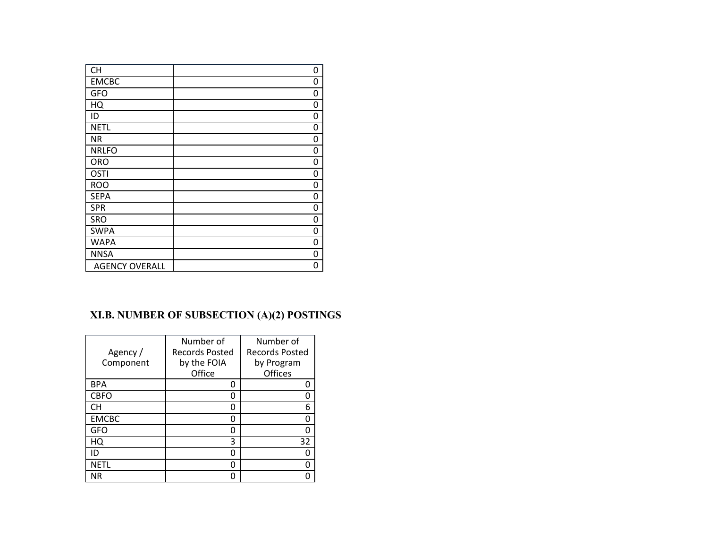| <b>CH</b>             | 0 |
|-----------------------|---|
| <b>EMCBC</b>          | 0 |
| <b>GFO</b>            | 0 |
| HQ                    | 0 |
| ID                    | O |
| <b>NETL</b>           | ი |
| <b>NR</b>             | 0 |
| <b>NRLFO</b>          | 0 |
| <b>ORO</b>            | 0 |
| <b>OSTI</b>           | 0 |
| <b>ROO</b>            | 0 |
| <b>SEPA</b>           | 0 |
| <b>SPR</b>            | 0 |
| SRO                   | 0 |
| <b>SWPA</b>           | 0 |
| <b>WAPA</b>           | 0 |
| <b>NNSA</b>           | 0 |
| <b>AGENCY OVERALL</b> | 0 |

# **XI.B. NUMBER OF SUBSECTION (A)(2) POSTINGS**

| Agency /<br>Component | Number of<br><b>Records Posted</b><br>by the FOIA | Number of<br><b>Records Posted</b><br>by Program |
|-----------------------|---------------------------------------------------|--------------------------------------------------|
|                       | Office                                            | Offices                                          |
| <b>BPA</b>            | O                                                 |                                                  |
| <b>CBFO</b>           |                                                   |                                                  |
| CН                    | O                                                 | 6                                                |
| <b>EMCBC</b>          | O                                                 |                                                  |
| <b>GFO</b>            | O                                                 |                                                  |
| HQ                    | 3                                                 | 32                                               |
| ID                    | O                                                 |                                                  |
| <b>NETL</b>           | O                                                 |                                                  |
| ΝR                    |                                                   |                                                  |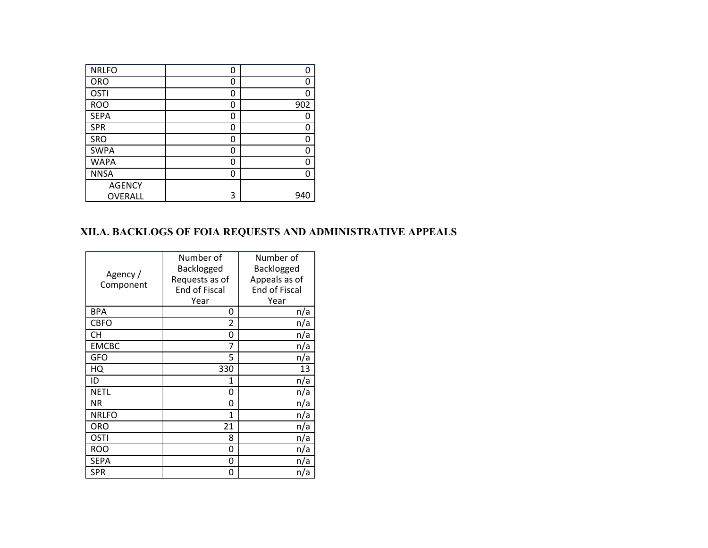| <b>NRLFO</b>  | 0 | 0   |
|---------------|---|-----|
| <b>ORO</b>    | 0 | 0   |
| <b>OSTI</b>   | 0 | 0   |
| <b>ROO</b>    | 0 | 902 |
| <b>SEPA</b>   | 0 | 0   |
| <b>SPR</b>    | 0 | O   |
| SRO           | 0 | O   |
| <b>SWPA</b>   | 0 | O   |
| <b>WAPA</b>   | 0 | n   |
| <b>NNSA</b>   | 0 | n   |
| <b>AGENCY</b> |   |     |
| OVERALL       | 3 | 940 |

# **XII.A. BACKLOGS OF FOIA REQUESTS AND ADMINISTRATIVE APPEALS**

| Agency /<br>Component | Number of<br>Backlogged<br>Requests as of<br><b>End of Fiscal</b><br>Year | Number of<br>Backlogged<br>Appeals as of<br><b>End of Fiscal</b><br>Year |
|-----------------------|---------------------------------------------------------------------------|--------------------------------------------------------------------------|
| <b>BPA</b>            | 0                                                                         | n/a                                                                      |
| <b>CBFO</b>           | 2                                                                         | n/a                                                                      |
| <b>CH</b>             | 0                                                                         | n/a                                                                      |
| <b>EMCBC</b>          | 7                                                                         | n/a                                                                      |
| <b>GFO</b>            | 5                                                                         | n/a                                                                      |
| HQ                    | 330                                                                       | 13                                                                       |
| ID                    | 1                                                                         | n/a                                                                      |
| <b>NETL</b>           | 0                                                                         | n/a                                                                      |
| <b>NR</b>             | 0                                                                         | n/a                                                                      |
| <b>NRLFO</b>          | 1                                                                         | n/a                                                                      |
| <b>ORO</b>            | 21                                                                        | n/a                                                                      |
| <b>OSTI</b>           | 8                                                                         | n/a                                                                      |
| <b>ROO</b>            | 0                                                                         | n/a                                                                      |
| <b>SEPA</b>           | 0                                                                         | n/a                                                                      |
| <b>SPR</b>            | 0                                                                         | n/a                                                                      |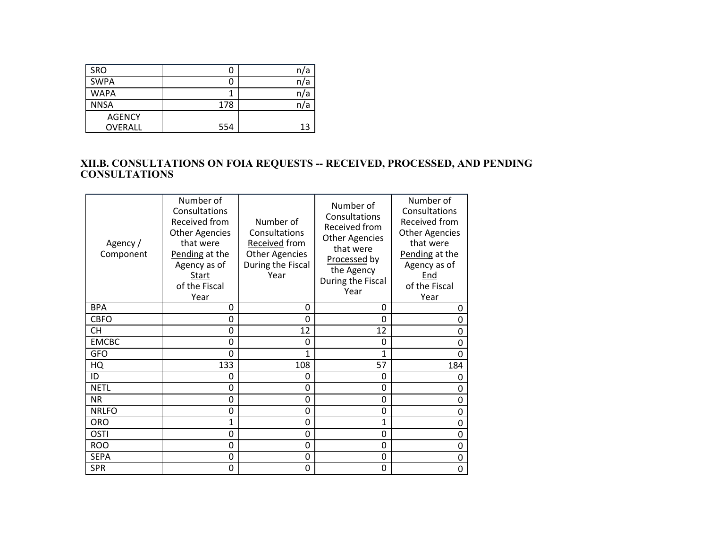| <b>SRO</b>     |     | n/a |
|----------------|-----|-----|
| <b>SWPA</b>    |     | n/a |
| <b>WAPA</b>    |     | n/a |
| <b>NNSA</b>    | 178 | n/a |
| <b>AGENCY</b>  |     |     |
| <b>OVERALL</b> | 554 | 13  |

#### **XII.B. CONSULTATIONS ON FOIA REQUESTS -- RECEIVED, PROCESSED, AND PENDING CONSULTATIONS**

| Agency/<br>Component | Number of<br>Consultations<br>Received from<br><b>Other Agencies</b><br>that were<br>Pending at the<br>Agency as of<br>Start<br>of the Fiscal<br>Year | Number of<br>Consultations<br>Received from<br><b>Other Agencies</b><br>During the Fiscal<br>Year | Number of<br>Consultations<br>Received from<br><b>Other Agencies</b><br>that were<br>Processed by<br>the Agency<br>During the Fiscal<br>Year | Number of<br>Consultations<br>Received from<br><b>Other Agencies</b><br>that were<br>Pending at the<br>Agency as of<br>End<br>of the Fiscal<br>Year |
|----------------------|-------------------------------------------------------------------------------------------------------------------------------------------------------|---------------------------------------------------------------------------------------------------|----------------------------------------------------------------------------------------------------------------------------------------------|-----------------------------------------------------------------------------------------------------------------------------------------------------|
| <b>BPA</b>           | 0                                                                                                                                                     | 0                                                                                                 | 0                                                                                                                                            | 0                                                                                                                                                   |
| <b>CBFO</b>          | 0                                                                                                                                                     | $\Omega$                                                                                          | 0                                                                                                                                            | 0                                                                                                                                                   |
| СH                   | 0                                                                                                                                                     | 12                                                                                                | 12                                                                                                                                           | 0                                                                                                                                                   |
| <b>EMCBC</b>         | 0                                                                                                                                                     | 0                                                                                                 | 0                                                                                                                                            | 0                                                                                                                                                   |
| <b>GFO</b>           | 0                                                                                                                                                     | 1                                                                                                 | 1                                                                                                                                            | 0                                                                                                                                                   |
| HQ                   | 133                                                                                                                                                   | 108                                                                                               | 57                                                                                                                                           | 184                                                                                                                                                 |
| ID                   | 0                                                                                                                                                     | 0                                                                                                 | 0                                                                                                                                            | 0                                                                                                                                                   |
| <b>NETL</b>          | 0                                                                                                                                                     | 0                                                                                                 | 0                                                                                                                                            | 0                                                                                                                                                   |
| <b>NR</b>            | 0                                                                                                                                                     | 0                                                                                                 | 0                                                                                                                                            | 0                                                                                                                                                   |
| <b>NRLFO</b>         | 0                                                                                                                                                     | 0                                                                                                 | 0                                                                                                                                            | 0                                                                                                                                                   |
| <b>ORO</b>           | $\mathbf{1}$                                                                                                                                          | 0                                                                                                 | $\mathbf{1}$                                                                                                                                 | 0                                                                                                                                                   |
| <b>OSTI</b>          | 0                                                                                                                                                     | 0                                                                                                 | 0                                                                                                                                            | 0                                                                                                                                                   |
| <b>ROO</b>           | 0                                                                                                                                                     | 0                                                                                                 | 0                                                                                                                                            | 0                                                                                                                                                   |
| <b>SEPA</b>          | 0                                                                                                                                                     | 0                                                                                                 | 0                                                                                                                                            | 0                                                                                                                                                   |
| <b>SPR</b>           | 0                                                                                                                                                     | 0                                                                                                 | 0                                                                                                                                            | 0                                                                                                                                                   |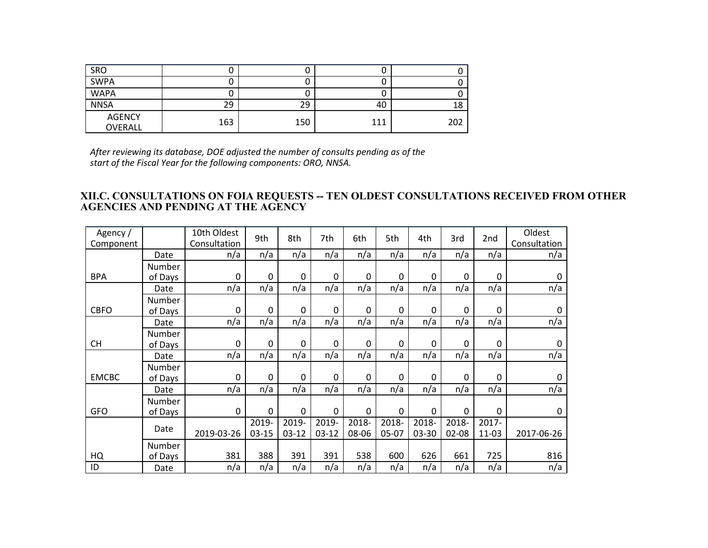| SRO                      |     |     | u   |     |
|--------------------------|-----|-----|-----|-----|
| <b>SWPA</b>              |     |     | u   |     |
| <b>WAPA</b>              |     |     | u   |     |
| <b>NNSA</b>              | 29  | 29  | 40  | 18  |
| <b>AGENCY</b><br>OVERALL | 163 | 150 | 111 | 202 |

*After reviewing its database, DOE adjusted the number of consults pending as of the start of the Fiscal Year for the following components: ORO, NNSA.*

#### **XII.C. CONSULTATIONS ON FOIA REQUESTS -- TEN OLDEST CONSULTATIONS RECEIVED FROM OTHER AGENCIES AND PENDING AT THE AGENCY**

| Agency /<br>Component |         | 10th Oldest<br>Consultation | 9th          | 8th          | 7th          | 6th   | 5th          | 4th   | 3rd   | 2nd   | Oldest<br>Consultation |
|-----------------------|---------|-----------------------------|--------------|--------------|--------------|-------|--------------|-------|-------|-------|------------------------|
|                       | Date    | n/a                         | n/a          | n/a          | n/a          | n/a   | n/a          | n/a   | n/a   | n/a   | n/a                    |
|                       | Number  |                             |              |              |              |       |              |       |       |       |                        |
| <b>BPA</b>            | of Days | 0                           | $\mathbf{0}$ | $\mathbf{0}$ | $\mathbf{0}$ | 0     | $\mathbf{0}$ | 0     | 0     | 0     | 0                      |
|                       | Date    | n/a                         | n/a          | n/a          | n/a          | n/a   | n/a          | n/a   | n/a   | n/a   | n/a                    |
|                       | Number  |                             |              |              |              |       |              |       |       |       |                        |
| <b>CBFO</b>           | of Days | 0                           | 0            | 0            | $\mathbf{0}$ | 0     | $\mathbf{0}$ | 0     | 0     | 0     | $\pmb{0}$              |
|                       | Date    | n/a                         | n/a          | n/a          | n/a          | n/a   | n/a          | n/a   | n/a   | n/a   | n/a                    |
|                       | Number  |                             |              |              |              |       |              |       |       |       |                        |
| <b>CH</b>             | of Days | 0                           | 0            | $\mathbf 0$  | 0            | 0     | 0            | 0     | 0     | 0     | 0                      |
|                       | Date    | n/a                         | n/a          | n/a          | n/a          | n/a   | n/a          | n/a   | n/a   | n/a   | n/a                    |
|                       | Number  |                             |              |              |              |       |              |       |       |       |                        |
| <b>EMCBC</b>          | of Days | 0                           | $\mathbf 0$  | 0            | $\Omega$     | 0     | 0            | 0     | 0     | 0     | 0                      |
|                       | Date    | n/a                         | n/a          | n/a          | n/a          | n/a   | n/a          | n/a   | n/a   | n/a   | n/a                    |
|                       | Number  |                             |              |              |              |       |              |       |       |       |                        |
| <b>GFO</b>            | of Days | $\mathbf 0$                 | 0            | 0            | $\mathbf{0}$ | 0     | $\mathbf{0}$ | 0     | 0     | 0     | 0                      |
|                       |         |                             | 2019-        | 2019-        | 2019-        | 2018- | 2018-        | 2018- | 2018- | 2017- |                        |
|                       | Date    | 2019-03-26                  | $03-15$      | $03 - 12$    | $03-12$      | 08-06 | 05-07        | 03-30 | 02-08 | 11-03 | 2017-06-26             |
|                       | Number  |                             |              |              |              |       |              |       |       |       |                        |
| HQ                    | of Days | 381                         | 388          | 391          | 391          | 538   | 600          | 626   | 661   | 725   | 816                    |
| ID                    | Date    | n/a                         | n/a          | n/a          | n/a          | n/a   | n/a          | n/a   | n/a   | n/a   | n/a                    |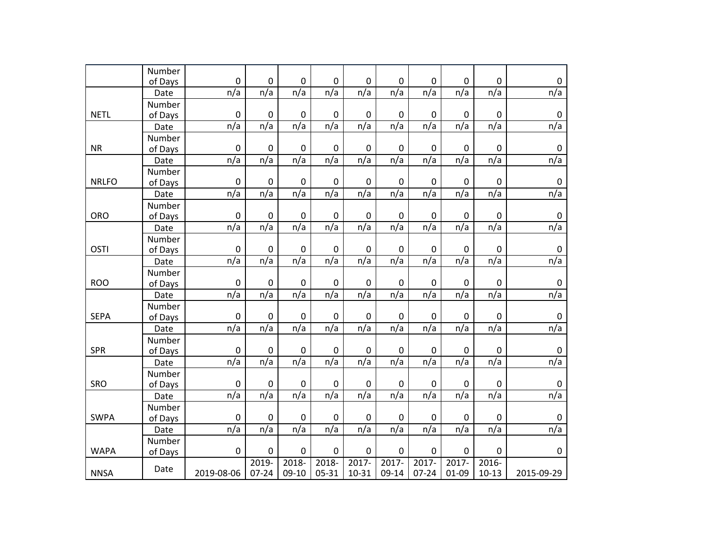|              | Number  |             |                     |             |             |                  |                  |           |             |             |                  |
|--------------|---------|-------------|---------------------|-------------|-------------|------------------|------------------|-----------|-------------|-------------|------------------|
|              | of Days | $\pmb{0}$   | $\pmb{0}$           | $\pmb{0}$   | $\pmb{0}$   | $\pmb{0}$        | $\pmb{0}$        | $\pmb{0}$ | $\pmb{0}$   | $\pmb{0}$   | $\pmb{0}$        |
|              | Date    | n/a         | n/a                 | n/a         | n/a         | n/a              | n/a              | n/a       | n/a         | n/a         | n/a              |
|              | Number  |             |                     |             |             |                  |                  |           |             |             |                  |
| <b>NETL</b>  | of Days | $\pmb{0}$   | $\mathbf 0$         | $\mathbf 0$ | $\pmb{0}$   | $\pmb{0}$        | $\pmb{0}$        | $\pmb{0}$ | $\pmb{0}$   | $\pmb{0}$   | $\pmb{0}$        |
|              | Date    | n/a         | n/a                 | n/a         | n/a         | n/a              | n/a              | n/a       | n/a         | n/a         | $\frac{n}{a}$    |
|              | Number  |             |                     |             |             |                  |                  |           |             |             |                  |
| <b>NR</b>    | of Days | $\pmb{0}$   | 0                   | $\pmb{0}$   | $\pmb{0}$   | $\boldsymbol{0}$ | $\mathbf 0$      | $\pmb{0}$ | $\pmb{0}$   | $\pmb{0}$   | $\pmb{0}$        |
|              | Date    | n/a         | n/a                 | n/a         | n/a         | n/a              | n/a              | n/a       | n/a         | n/a         | n/a              |
|              | Number  |             |                     |             |             |                  |                  |           |             |             |                  |
| <b>NRLFO</b> | of Days | $\mathbf 0$ | 0                   | $\pmb{0}$   | $\pmb{0}$   | $\boldsymbol{0}$ | 0                | $\pmb{0}$ | $\pmb{0}$   | $\pmb{0}$   | $\pmb{0}$        |
|              | Date    | n/a         | n/a                 | n/a         | n/a         | n/a              | n/a              | n/a       | n/a         | n/a         | n/a              |
|              | Number  |             |                     |             |             |                  |                  |           |             |             |                  |
| ORO          | of Days | $\mathbf 0$ | $\mathsf{O}\xspace$ | $\pmb{0}$   | $\pmb{0}$   | $\pmb{0}$        | $\mathbf 0$      | 0         | $\pmb{0}$   | $\pmb{0}$   | $\pmb{0}$        |
|              | Date    | n/a         | n/a                 | n/a         | n/a         | n/a              | n/a              | n/a       | n/a         | n/a         | n/a              |
|              | Number  |             |                     |             |             |                  |                  |           |             |             |                  |
| <b>OSTI</b>  | of Days | $\pmb{0}$   | $\mathsf{O}\xspace$ | $\pmb{0}$   | $\pmb{0}$   | $\pmb{0}$        | $\boldsymbol{0}$ | 0         | $\mathbf 0$ | $\pmb{0}$   | $\pmb{0}$        |
|              | Date    | n/a         | n/a                 | n/a         | n/a         | n/a              | n/a              | n/a       | n/a         | n/a         | n/a              |
|              | Number  |             |                     |             |             |                  |                  |           |             |             |                  |
| <b>ROO</b>   | of Days | $\pmb{0}$   | 0                   | $\mathbf 0$ | $\mathbf 0$ | $\boldsymbol{0}$ | $\mathbf 0$      | $\pmb{0}$ | $\pmb{0}$   | $\mathbf 0$ | $\pmb{0}$        |
|              | Date    | n/a         | n/a                 | n/a         | n/a         | n/a              | n/a              | n/a       | n/a         | n/a         | n/a              |
|              | Number  |             |                     |             |             |                  |                  |           |             |             |                  |
| <b>SEPA</b>  | of Days | 0           | 0                   | $\mathbf 0$ | $\mathbf 0$ | $\boldsymbol{0}$ | $\mathbf 0$      | $\pmb{0}$ | $\mathbf 0$ | $\mathbf 0$ | $\pmb{0}$        |
|              | Date    | n/a         | n/a                 | n/a         | n/a         | n/a              | n/a              | n/a       | n/a         | n/a         | n/a              |
|              | Number  |             |                     |             |             |                  |                  |           |             |             |                  |
| <b>SPR</b>   | of Days | $\pmb{0}$   | $\mathsf{O}\xspace$ | $\pmb{0}$   | $\pmb{0}$   | $\pmb{0}$        | $\pmb{0}$        | $\pmb{0}$ | $\pmb{0}$   | $\pmb{0}$   | $\pmb{0}$        |
|              | Date    | n/a         | n/a                 | n/a         | n/a         | n/a              | n/a              | n/a       | n/a         | n/a         | n/a              |
|              | Number  |             |                     |             |             |                  |                  |           |             |             |                  |
| SRO          | of Days | $\pmb{0}$   | $\pmb{0}$           | $\pmb{0}$   | $\pmb{0}$   | $\pmb{0}$        | $\pmb{0}$        | $\pmb{0}$ | $\pmb{0}$   | $\pmb{0}$   | $\pmb{0}$        |
|              | Date    | n/a         | n/a                 | n/a         | n/a         | n/a              | n/a              | n/a       | n/a         | n/a         | n/a              |
|              | Number  |             |                     |             |             |                  |                  |           |             |             |                  |
| <b>SWPA</b>  | of Days | $\pmb{0}$   | $\pmb{0}$           | $\pmb{0}$   | $\pmb{0}$   | $\pmb{0}$        | $\pmb{0}$        | $\pmb{0}$ | $\pmb{0}$   | $\pmb{0}$   | $\boldsymbol{0}$ |
|              | Date    | n/a         | n/a                 | n/a         | n/a         | n/a              | n/a              | n/a       | n/a         | n/a         | n/a              |
|              | Number  |             |                     |             |             |                  |                  |           |             |             |                  |
| <b>WAPA</b>  | of Days | $\pmb{0}$   | $\pmb{0}$           | $\pmb{0}$   | $\pmb{0}$   | $\pmb{0}$        | $\pmb{0}$        | $\pmb{0}$ | $\pmb{0}$   | $\pmb{0}$   | $\pmb{0}$        |
|              |         |             | 2019-               | $2018 -$    | 2018-       | $2017 -$         | $2017 -$         | $2017 -$  | $2017 -$    | $2016 -$    |                  |
| <b>NNSA</b>  | Date    | 2019-08-06  | $07 - 24$           | $09-10$     | 05-31       | $10 - 31$        | 09-14            | $07 - 24$ | 01-09       | $10-13$     | 2015-09-29       |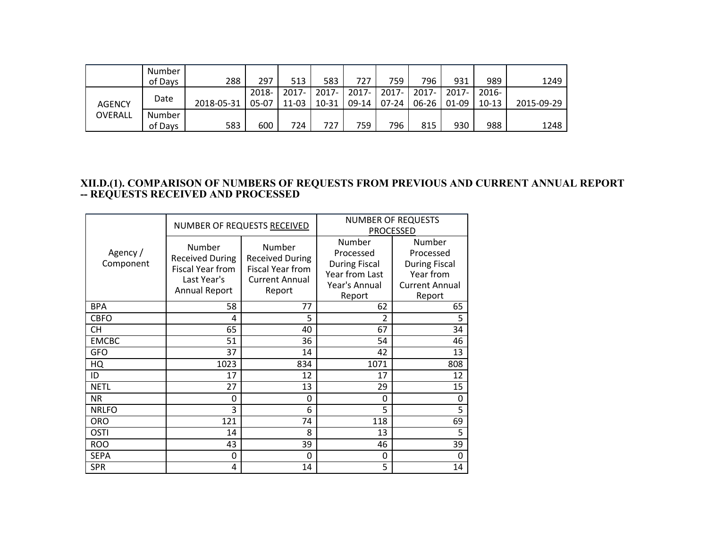|               | <b>Number</b> |            |       |          |       |          |       |           |          |          |            |
|---------------|---------------|------------|-------|----------|-------|----------|-------|-----------|----------|----------|------------|
|               | of Days       | 288        | 297   | 513      | 583   | 727      | 759   | 796       | 931      | 989      | 1249       |
| <b>AGENCY</b> | Date          |            | 2018- | $2017 -$ | 2017- | $2017 -$ | 2017- | $2017 -$  | $2017 -$ | $2016 -$ |            |
|               |               | 2018-05-31 | 05-07 | 11-03    | 10-31 | $09-14$  | 07-24 | $06 - 26$ | 01-09    | $10-13$  | 2015-09-29 |
| OVERALL       | Number        |            |       |          |       |          |       |           |          |          |            |
|               | of Days       | 583        | 600   | 724      | 727   | 759      | 796   | 815       | 930      | 988      | 1248       |

#### **XII.D.(1). COMPARISON OF NUMBERS OF REQUESTS FROM PREVIOUS AND CURRENT ANNUAL REPORT -- REQUESTS RECEIVED AND PROCESSED**

|                       |                                                                                                    | NUMBER OF REQUESTS RECEIVED                                                                    | <b>NUMBER OF REQUESTS</b><br><b>PROCESSED</b>                                            |                                                                                             |  |
|-----------------------|----------------------------------------------------------------------------------------------------|------------------------------------------------------------------------------------------------|------------------------------------------------------------------------------------------|---------------------------------------------------------------------------------------------|--|
| Agency /<br>Component | Number<br><b>Received During</b><br><b>Fiscal Year from</b><br>Last Year's<br><b>Annual Report</b> | Number<br><b>Received During</b><br><b>Fiscal Year from</b><br><b>Current Annual</b><br>Report | Number<br>Processed<br><b>During Fiscal</b><br>Year from Last<br>Year's Annual<br>Report | Number<br>Processed<br><b>During Fiscal</b><br>Year from<br><b>Current Annual</b><br>Report |  |
| <b>BPA</b>            | 58                                                                                                 | 77                                                                                             | 62                                                                                       | 65                                                                                          |  |
| <b>CBFO</b>           | 4                                                                                                  | 5                                                                                              | 2                                                                                        | 5                                                                                           |  |
| <b>CH</b>             | 65                                                                                                 | 40                                                                                             | 67                                                                                       | 34                                                                                          |  |
| <b>EMCBC</b>          | 51                                                                                                 | 36                                                                                             | 54                                                                                       | 46                                                                                          |  |
| <b>GFO</b>            | 37                                                                                                 | 14                                                                                             | 42                                                                                       | 13                                                                                          |  |
| HQ                    | 1023                                                                                               | 834                                                                                            | 1071                                                                                     | 808                                                                                         |  |
| ID                    | 17                                                                                                 | 12                                                                                             | 17                                                                                       | 12                                                                                          |  |
| <b>NETL</b>           | 27                                                                                                 | 13                                                                                             | 29                                                                                       | 15                                                                                          |  |
| <b>NR</b>             | 0                                                                                                  | 0                                                                                              | 0                                                                                        | 0                                                                                           |  |
| <b>NRLFO</b>          | 3                                                                                                  | 6                                                                                              | 5                                                                                        | 5                                                                                           |  |
| <b>ORO</b>            | 121                                                                                                | 74                                                                                             | 118                                                                                      | 69                                                                                          |  |
| <b>OSTI</b>           | 14                                                                                                 | 8                                                                                              | 13                                                                                       | 5                                                                                           |  |
| <b>ROO</b>            | 43                                                                                                 | 39                                                                                             | 46                                                                                       | 39                                                                                          |  |
| <b>SEPA</b>           | 0                                                                                                  | $\Omega$                                                                                       | 0                                                                                        | 0                                                                                           |  |
| <b>SPR</b>            | 4                                                                                                  | 14                                                                                             | 5                                                                                        | 14                                                                                          |  |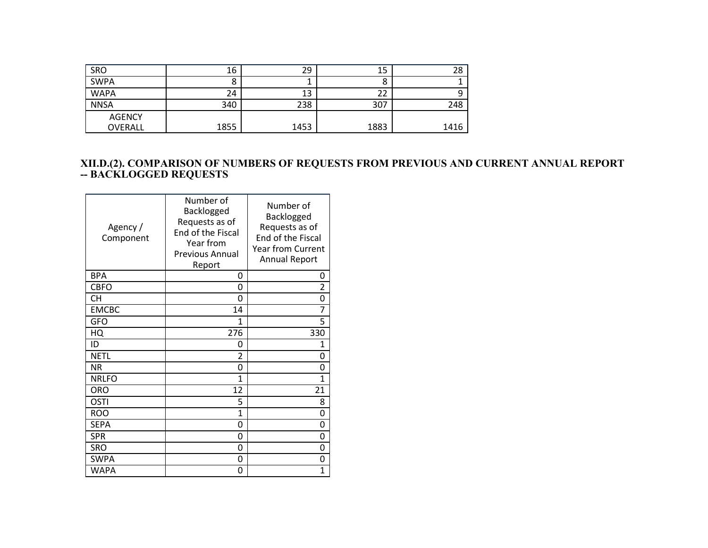| SRO                      | 16   | 29   | 15   | 28   |
|--------------------------|------|------|------|------|
| <b>SWPA</b>              |      |      | o    |      |
| <b>WAPA</b>              | 24   | 13   | 22   |      |
| <b>NNSA</b>              | 340  | 238  | 307  | 248  |
| <b>AGENCY</b><br>OVERALL | 1855 | 1453 | 1883 | 1416 |

#### **XII.D.(2). COMPARISON OF NUMBERS OF REQUESTS FROM PREVIOUS AND CURRENT ANNUAL REPORT -- BACKLOGGED REQUESTS**

| Agency/<br>Component | Number of<br>Backlogged<br>Requests as of<br>End of the Fiscal<br>Year from<br><b>Previous Annual</b><br><u>Report</u> | Number of<br>Backlogged<br>Requests as of<br>End of the Fiscal<br><b>Year from Current</b><br><b>Annual Report</b> |
|----------------------|------------------------------------------------------------------------------------------------------------------------|--------------------------------------------------------------------------------------------------------------------|
| <b>BPA</b>           | 0                                                                                                                      | 0                                                                                                                  |
| <b>CBFO</b>          | 0                                                                                                                      | 2                                                                                                                  |
| <b>CH</b>            | 0                                                                                                                      | 0                                                                                                                  |
| <b>EMCBC</b>         | 14                                                                                                                     | 7                                                                                                                  |
| <b>GFO</b>           | $\mathbf{1}$                                                                                                           | 5                                                                                                                  |
| HQ                   | 276                                                                                                                    | 330                                                                                                                |
| ID                   | 0                                                                                                                      | $\mathbf{1}$                                                                                                       |
| <b>NETL</b>          | 2                                                                                                                      | 0                                                                                                                  |
| <b>NR</b>            | 0                                                                                                                      | 0                                                                                                                  |
| <b>NRLFO</b>         | $\mathbf{1}$                                                                                                           | 1                                                                                                                  |
| <b>ORO</b>           | 12                                                                                                                     | 21                                                                                                                 |
| OSTI                 | 5                                                                                                                      | 8                                                                                                                  |
| <b>ROO</b>           | $\mathbf{1}$                                                                                                           | 0                                                                                                                  |
| <b>SEPA</b>          | 0                                                                                                                      | 0                                                                                                                  |
| <b>SPR</b>           | 0                                                                                                                      | 0                                                                                                                  |
| <b>SRO</b>           | 0                                                                                                                      | 0                                                                                                                  |
| <b>SWPA</b>          | 0                                                                                                                      | 0                                                                                                                  |
| <b>WAPA</b>          | 0                                                                                                                      | 1                                                                                                                  |